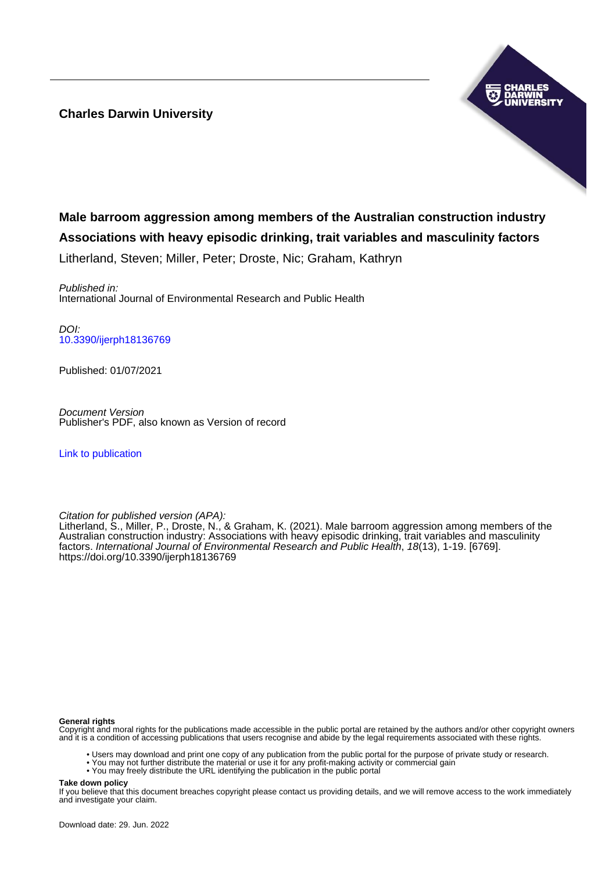## **Charles Darwin University**



# **Male barroom aggression among members of the Australian construction industry Associations with heavy episodic drinking, trait variables and masculinity factors**

Litherland, Steven; Miller, Peter; Droste, Nic; Graham, Kathryn

Published in: International Journal of Environmental Research and Public Health

DOI: [10.3390/ijerph18136769](https://doi.org/10.3390/ijerph18136769)

Published: 01/07/2021

Document Version Publisher's PDF, also known as Version of record

[Link to publication](https://researchers.cdu.edu.au/en/publications/0d14f215-7f73-46cc-afdd-70feabac045e)

Citation for published version (APA):

Litherland, S., Miller, P., Droste, N., & Graham, K. (2021). Male barroom aggression among members of the Australian construction industry: Associations with heavy episodic drinking, trait variables and masculinity factors. International Journal of Environmental Research and Public Health, 18(13), 1-19. [6769]. <https://doi.org/10.3390/ijerph18136769>

#### **General rights**

Copyright and moral rights for the publications made accessible in the public portal are retained by the authors and/or other copyright owners and it is a condition of accessing publications that users recognise and abide by the legal requirements associated with these rights.

- Users may download and print one copy of any publication from the public portal for the purpose of private study or research.
- You may not further distribute the material or use it for any profit-making activity or commercial gain
- You may freely distribute the URL identifying the publication in the public portal

**Take down policy**

If you believe that this document breaches copyright please contact us providing details, and we will remove access to the work immediately and investigate your claim.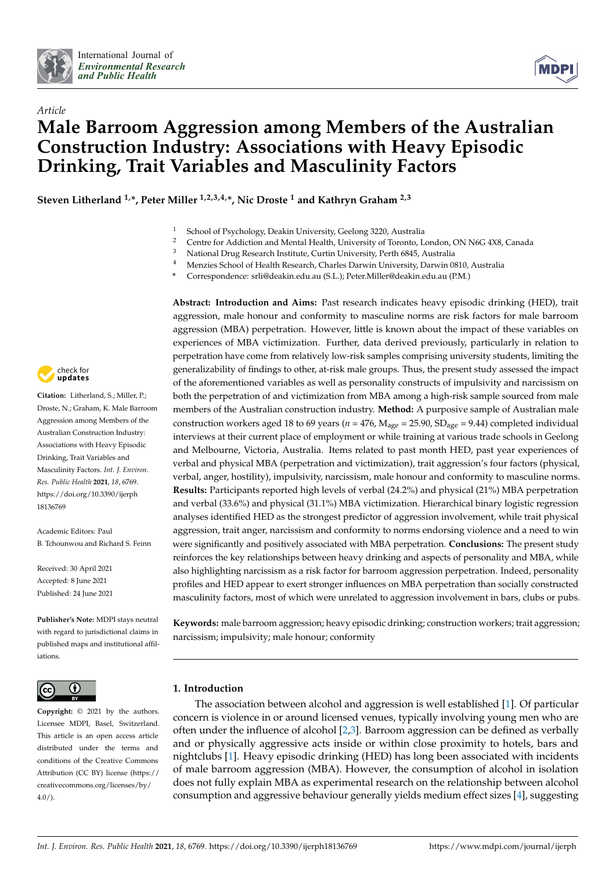



# *Article* **Male Barroom Aggression among Members of the Australian Construction Industry: Associations with Heavy Episodic Drinking, Trait Variables and Masculinity Factors**

**Steven Litherland 1,\*, Peter Miller 1,2,3,4,\*, Nic Droste <sup>1</sup> and Kathryn Graham 2,3**

- <sup>1</sup> School of Psychology, Deakin University, Geelong 3220, Australia
- <sup>2</sup> Centre for Addiction and Mental Health, University of Toronto, London, ON N6G 4X8, Canada
- $^3$  National Drug Research Institute, Curtin University, Perth 6845, Australia
- <sup>4</sup> Menzies School of Health Research, Charles Darwin University, Darwin 0810, Australia
- **\*** Correspondence: srli@deakin.edu.au (S.L.); Peter.Miller@deakin.edu.au (P.M.)



**Citation:** Litherland, S.; Miller, P.; Droste, N.; Graham, K. Male Barroom Aggression among Members of the Australian Construction Industry: Associations with Heavy Episodic Drinking, Trait Variables and Masculinity Factors. *Int. J. Environ. Res. Public Health* **2021**, *18*, 6769. [https://doi.org/10.3390/ijerph](https://doi.org/10.3390/ijerph18136769) [18136769](https://doi.org/10.3390/ijerph18136769)

Academic Editors: Paul B. Tchounwou and Richard S. Feinn

Received: 30 April 2021 Accepted: 8 June 2021 Published: 24 June 2021

**Publisher's Note:** MDPI stays neutral with regard to jurisdictional claims in published maps and institutional affiliations.



**Copyright:** © 2021 by the authors. Licensee MDPI, Basel, Switzerland. This article is an open access article distributed under the terms and conditions of the Creative Commons Attribution (CC BY) license (https:/[/](https://creativecommons.org/licenses/by/4.0/) [creativecommons.org/licenses/by/](https://creativecommons.org/licenses/by/4.0/) 4.0/).

**Abstract: Introduction and Aims:** Past research indicates heavy episodic drinking (HED), trait aggression, male honour and conformity to masculine norms are risk factors for male barroom aggression (MBA) perpetration. However, little is known about the impact of these variables on experiences of MBA victimization. Further, data derived previously, particularly in relation to perpetration have come from relatively low-risk samples comprising university students, limiting the generalizability of findings to other, at-risk male groups. Thus, the present study assessed the impact of the aforementioned variables as well as personality constructs of impulsivity and narcissism on both the perpetration of and victimization from MBA among a high-risk sample sourced from male members of the Australian construction industry. **Method:** A purposive sample of Australian male construction workers aged 18 to 69 years ( $n = 476$ ,  $M_{\text{age}} = 25.90$ ,  $SD_{\text{age}} = 9.44$ ) completed individual interviews at their current place of employment or while training at various trade schools in Geelong and Melbourne, Victoria, Australia. Items related to past month HED, past year experiences of verbal and physical MBA (perpetration and victimization), trait aggression's four factors (physical, verbal, anger, hostility), impulsivity, narcissism, male honour and conformity to masculine norms. **Results:** Participants reported high levels of verbal (24.2%) and physical (21%) MBA perpetration and verbal (33.6%) and physical (31.1%) MBA victimization. Hierarchical binary logistic regression analyses identified HED as the strongest predictor of aggression involvement, while trait physical aggression, trait anger, narcissism and conformity to norms endorsing violence and a need to win were significantly and positively associated with MBA perpetration. **Conclusions:** The present study reinforces the key relationships between heavy drinking and aspects of personality and MBA, while also highlighting narcissism as a risk factor for barroom aggression perpetration. Indeed, personality profiles and HED appear to exert stronger influences on MBA perpetration than socially constructed masculinity factors, most of which were unrelated to aggression involvement in bars, clubs or pubs.

**Keywords:** male barroom aggression; heavy episodic drinking; construction workers; trait aggression; narcissism; impulsivity; male honour; conformity

## **1. Introduction**

The association between alcohol and aggression is well established [\[1\]](#page-16-0). Of particular concern is violence in or around licensed venues, typically involving young men who are often under the influence of alcohol [\[2](#page-16-1)[,3\]](#page-16-2). Barroom aggression can be defined as verbally and or physically aggressive acts inside or within close proximity to hotels, bars and nightclubs [\[1\]](#page-16-0). Heavy episodic drinking (HED) has long been associated with incidents of male barroom aggression (MBA). However, the consumption of alcohol in isolation does not fully explain MBA as experimental research on the relationship between alcohol consumption and aggressive behaviour generally yields medium effect sizes [\[4\]](#page-16-3), suggesting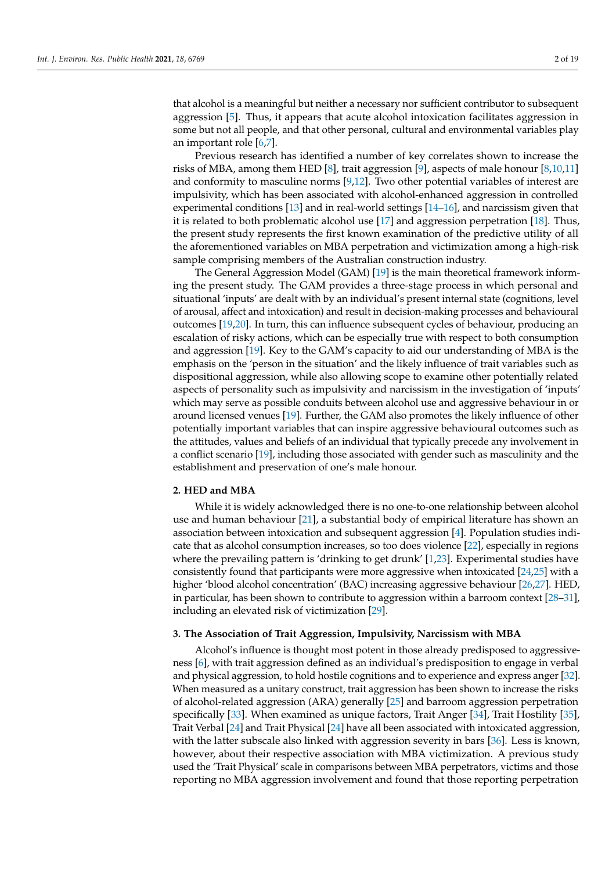that alcohol is a meaningful but neither a necessary nor sufficient contributor to subsequent aggression [\[5\]](#page-16-4). Thus, it appears that acute alcohol intoxication facilitates aggression in some but not all people, and that other personal, cultural and environmental variables play an important role [\[6,](#page-16-5)[7\]](#page-16-6).

Previous research has identified a number of key correlates shown to increase the risks of MBA, among them HED [\[8\]](#page-17-0), trait aggression [\[9\]](#page-17-1), aspects of male honour [\[8,](#page-17-0)[10](#page-17-2)[,11\]](#page-17-3) and conformity to masculine norms [\[9,](#page-17-1)[12\]](#page-17-4). Two other potential variables of interest are impulsivity, which has been associated with alcohol-enhanced aggression in controlled experimental conditions [\[13\]](#page-17-5) and in real-world settings [\[14–](#page-17-6)[16\]](#page-17-7), and narcissism given that it is related to both problematic alcohol use [\[17\]](#page-17-8) and aggression perpetration [\[18\]](#page-17-9). Thus, the present study represents the first known examination of the predictive utility of all the aforementioned variables on MBA perpetration and victimization among a high-risk sample comprising members of the Australian construction industry.

The General Aggression Model (GAM) [\[19\]](#page-17-10) is the main theoretical framework informing the present study. The GAM provides a three-stage process in which personal and situational 'inputs' are dealt with by an individual's present internal state (cognitions, level of arousal, affect and intoxication) and result in decision-making processes and behavioural outcomes [\[19](#page-17-10)[,20\]](#page-17-11). In turn, this can influence subsequent cycles of behaviour, producing an escalation of risky actions, which can be especially true with respect to both consumption and aggression [\[19\]](#page-17-10). Key to the GAM's capacity to aid our understanding of MBA is the emphasis on the 'person in the situation' and the likely influence of trait variables such as dispositional aggression, while also allowing scope to examine other potentially related aspects of personality such as impulsivity and narcissism in the investigation of 'inputs' which may serve as possible conduits between alcohol use and aggressive behaviour in or around licensed venues [\[19\]](#page-17-10). Further, the GAM also promotes the likely influence of other potentially important variables that can inspire aggressive behavioural outcomes such as the attitudes, values and beliefs of an individual that typically precede any involvement in a conflict scenario [\[19\]](#page-17-10), including those associated with gender such as masculinity and the establishment and preservation of one's male honour.

## **2. HED and MBA**

While it is widely acknowledged there is no one-to-one relationship between alcohol use and human behaviour [\[21\]](#page-17-12), a substantial body of empirical literature has shown an association between intoxication and subsequent aggression [\[4\]](#page-16-3). Population studies indicate that as alcohol consumption increases, so too does violence [\[22\]](#page-17-13), especially in regions where the prevailing pattern is 'drinking to get drunk' [\[1](#page-16-0)[,23\]](#page-17-14). Experimental studies have consistently found that participants were more aggressive when intoxicated [\[24,](#page-17-15)[25\]](#page-17-16) with a higher 'blood alcohol concentration' (BAC) increasing aggressive behaviour [\[26,](#page-17-17)[27\]](#page-17-18). HED, in particular, has been shown to contribute to aggression within a barroom context [\[28–](#page-17-19)[31\]](#page-17-20), including an elevated risk of victimization [\[29\]](#page-17-21).

### **3. The Association of Trait Aggression, Impulsivity, Narcissism with MBA**

Alcohol's influence is thought most potent in those already predisposed to aggressiveness [\[6\]](#page-16-5), with trait aggression defined as an individual's predisposition to engage in verbal and physical aggression, to hold hostile cognitions and to experience and express anger [\[32\]](#page-17-22). When measured as a unitary construct, trait aggression has been shown to increase the risks of alcohol-related aggression (ARA) generally [\[25\]](#page-17-16) and barroom aggression perpetration specifically [\[33\]](#page-17-23). When examined as unique factors, Trait Anger [\[34\]](#page-17-24), Trait Hostility [\[35\]](#page-17-25), Trait Verbal [\[24\]](#page-17-15) and Trait Physical [\[24\]](#page-17-15) have all been associated with intoxicated aggression, with the latter subscale also linked with aggression severity in bars [\[36\]](#page-17-26). Less is known, however, about their respective association with MBA victimization. A previous study used the 'Trait Physical' scale in comparisons between MBA perpetrators, victims and those reporting no MBA aggression involvement and found that those reporting perpetration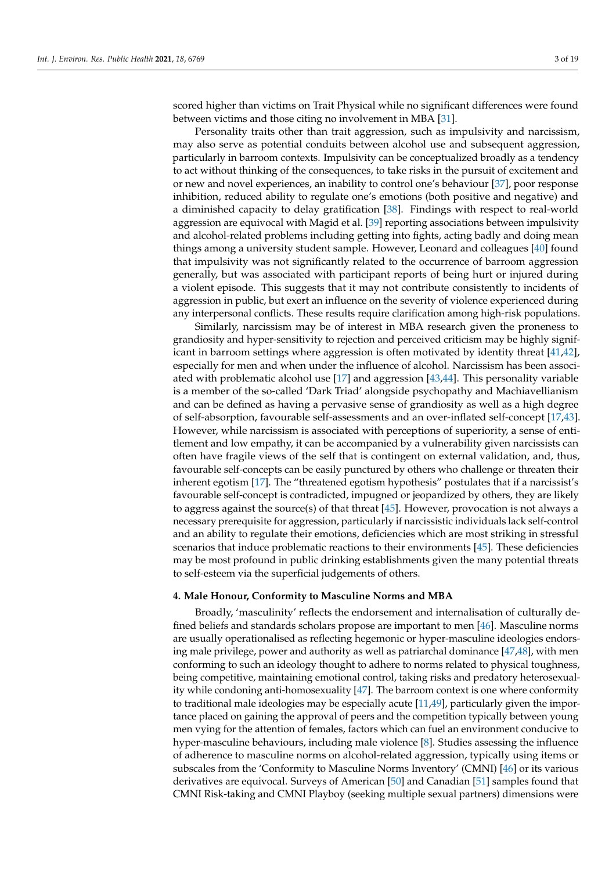scored higher than victims on Trait Physical while no significant differences were found between victims and those citing no involvement in MBA [\[31\]](#page-17-20).

Personality traits other than trait aggression, such as impulsivity and narcissism, may also serve as potential conduits between alcohol use and subsequent aggression, particularly in barroom contexts. Impulsivity can be conceptualized broadly as a tendency to act without thinking of the consequences, to take risks in the pursuit of excitement and or new and novel experiences, an inability to control one's behaviour [\[37\]](#page-18-0), poor response inhibition, reduced ability to regulate one's emotions (both positive and negative) and a diminished capacity to delay gratification [\[38\]](#page-18-1). Findings with respect to real-world aggression are equivocal with Magid et al. [\[39\]](#page-18-2) reporting associations between impulsivity and alcohol-related problems including getting into fights, acting badly and doing mean things among a university student sample. However, Leonard and colleagues [\[40\]](#page-18-3) found that impulsivity was not significantly related to the occurrence of barroom aggression generally, but was associated with participant reports of being hurt or injured during a violent episode. This suggests that it may not contribute consistently to incidents of aggression in public, but exert an influence on the severity of violence experienced during any interpersonal conflicts. These results require clarification among high-risk populations.

Similarly, narcissism may be of interest in MBA research given the proneness to grandiosity and hyper-sensitivity to rejection and perceived criticism may be highly significant in barroom settings where aggression is often motivated by identity threat [\[41,](#page-18-4)[42\]](#page-18-5), especially for men and when under the influence of alcohol. Narcissism has been associated with problematic alcohol use [\[17\]](#page-17-8) and aggression [\[43,](#page-18-6)[44\]](#page-18-7). This personality variable is a member of the so-called 'Dark Triad' alongside psychopathy and Machiavellianism and can be defined as having a pervasive sense of grandiosity as well as a high degree of self-absorption, favourable self-assessments and an over-inflated self-concept [\[17,](#page-17-8)[43\]](#page-18-6). However, while narcissism is associated with perceptions of superiority, a sense of entitlement and low empathy, it can be accompanied by a vulnerability given narcissists can often have fragile views of the self that is contingent on external validation, and, thus, favourable self-concepts can be easily punctured by others who challenge or threaten their inherent egotism [\[17\]](#page-17-8). The "threatened egotism hypothesis" postulates that if a narcissist's favourable self-concept is contradicted, impugned or jeopardized by others, they are likely to aggress against the source(s) of that threat [\[45\]](#page-18-8). However, provocation is not always a necessary prerequisite for aggression, particularly if narcissistic individuals lack self-control and an ability to regulate their emotions, deficiencies which are most striking in stressful scenarios that induce problematic reactions to their environments [\[45\]](#page-18-8). These deficiencies may be most profound in public drinking establishments given the many potential threats to self-esteem via the superficial judgements of others.

### **4. Male Honour, Conformity to Masculine Norms and MBA**

Broadly, 'masculinity' reflects the endorsement and internalisation of culturally defined beliefs and standards scholars propose are important to men [\[46\]](#page-18-9). Masculine norms are usually operationalised as reflecting hegemonic or hyper-masculine ideologies endorsing male privilege, power and authority as well as patriarchal dominance [\[47,](#page-18-10)[48\]](#page-18-11), with men conforming to such an ideology thought to adhere to norms related to physical toughness, being competitive, maintaining emotional control, taking risks and predatory heterosexuality while condoning anti-homosexuality [\[47\]](#page-18-10). The barroom context is one where conformity to traditional male ideologies may be especially acute [\[11,](#page-17-3)[49\]](#page-18-12), particularly given the importance placed on gaining the approval of peers and the competition typically between young men vying for the attention of females, factors which can fuel an environment conducive to hyper-masculine behaviours, including male violence [\[8\]](#page-17-0). Studies assessing the influence of adherence to masculine norms on alcohol-related aggression, typically using items or subscales from the 'Conformity to Masculine Norms Inventory' (CMNI) [\[46\]](#page-18-9) or its various derivatives are equivocal. Surveys of American [\[50\]](#page-18-13) and Canadian [\[51\]](#page-18-14) samples found that CMNI Risk-taking and CMNI Playboy (seeking multiple sexual partners) dimensions were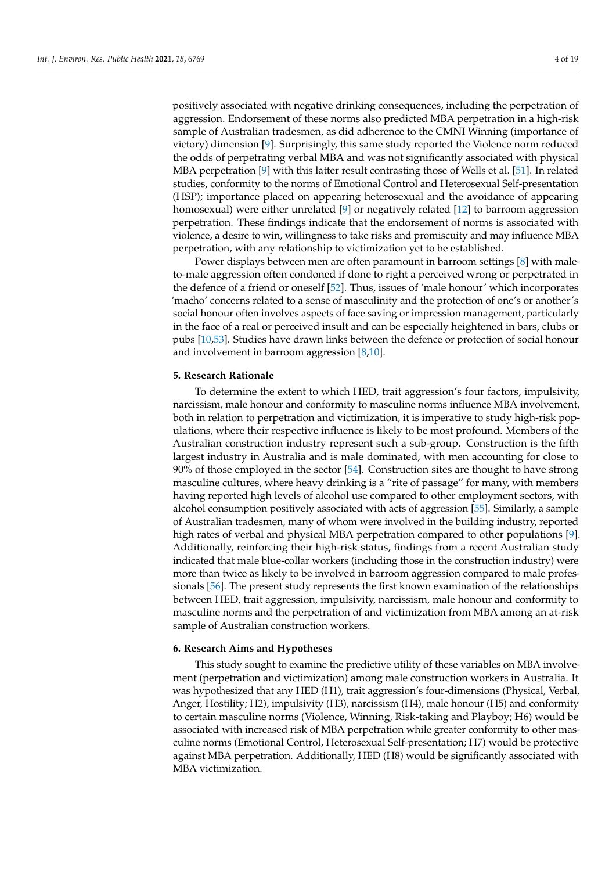positively associated with negative drinking consequences, including the perpetration of aggression. Endorsement of these norms also predicted MBA perpetration in a high-risk sample of Australian tradesmen, as did adherence to the CMNI Winning (importance of victory) dimension [\[9\]](#page-17-1). Surprisingly, this same study reported the Violence norm reduced the odds of perpetrating verbal MBA and was not significantly associated with physical MBA perpetration [\[9\]](#page-17-1) with this latter result contrasting those of Wells et al. [\[51\]](#page-18-14). In related studies, conformity to the norms of Emotional Control and Heterosexual Self-presentation (HSP); importance placed on appearing heterosexual and the avoidance of appearing homosexual) were either unrelated [\[9\]](#page-17-1) or negatively related [\[12\]](#page-17-4) to barroom aggression perpetration. These findings indicate that the endorsement of norms is associated with violence, a desire to win, willingness to take risks and promiscuity and may influence MBA perpetration, with any relationship to victimization yet to be established.

Power displays between men are often paramount in barroom settings [\[8\]](#page-17-0) with maleto-male aggression often condoned if done to right a perceived wrong or perpetrated in the defence of a friend or oneself [\[52\]](#page-18-15). Thus, issues of 'male honour' which incorporates 'macho' concerns related to a sense of masculinity and the protection of one's or another's social honour often involves aspects of face saving or impression management, particularly in the face of a real or perceived insult and can be especially heightened in bars, clubs or pubs [\[10,](#page-17-2)[53\]](#page-18-16). Studies have drawn links between the defence or protection of social honour and involvement in barroom aggression [\[8](#page-17-0)[,10\]](#page-17-2).

## **5. Research Rationale**

To determine the extent to which HED, trait aggression's four factors, impulsivity, narcissism, male honour and conformity to masculine norms influence MBA involvement, both in relation to perpetration and victimization, it is imperative to study high-risk populations, where their respective influence is likely to be most profound. Members of the Australian construction industry represent such a sub-group. Construction is the fifth largest industry in Australia and is male dominated, with men accounting for close to 90% of those employed in the sector [\[54\]](#page-18-17). Construction sites are thought to have strong masculine cultures, where heavy drinking is a "rite of passage" for many, with members having reported high levels of alcohol use compared to other employment sectors, with alcohol consumption positively associated with acts of aggression [\[55\]](#page-18-18). Similarly, a sample of Australian tradesmen, many of whom were involved in the building industry, reported high rates of verbal and physical MBA perpetration compared to other populations [\[9\]](#page-17-1). Additionally, reinforcing their high-risk status, findings from a recent Australian study indicated that male blue-collar workers (including those in the construction industry) were more than twice as likely to be involved in barroom aggression compared to male professionals [\[56\]](#page-18-19). The present study represents the first known examination of the relationships between HED, trait aggression, impulsivity, narcissism, male honour and conformity to masculine norms and the perpetration of and victimization from MBA among an at-risk sample of Australian construction workers.

#### **6. Research Aims and Hypotheses**

This study sought to examine the predictive utility of these variables on MBA involvement (perpetration and victimization) among male construction workers in Australia. It was hypothesized that any HED (H1), trait aggression's four-dimensions (Physical, Verbal, Anger, Hostility; H2), impulsivity (H3), narcissism (H4), male honour (H5) and conformity to certain masculine norms (Violence, Winning, Risk-taking and Playboy; H6) would be associated with increased risk of MBA perpetration while greater conformity to other masculine norms (Emotional Control, Heterosexual Self-presentation; H7) would be protective against MBA perpetration. Additionally, HED (H8) would be significantly associated with MBA victimization.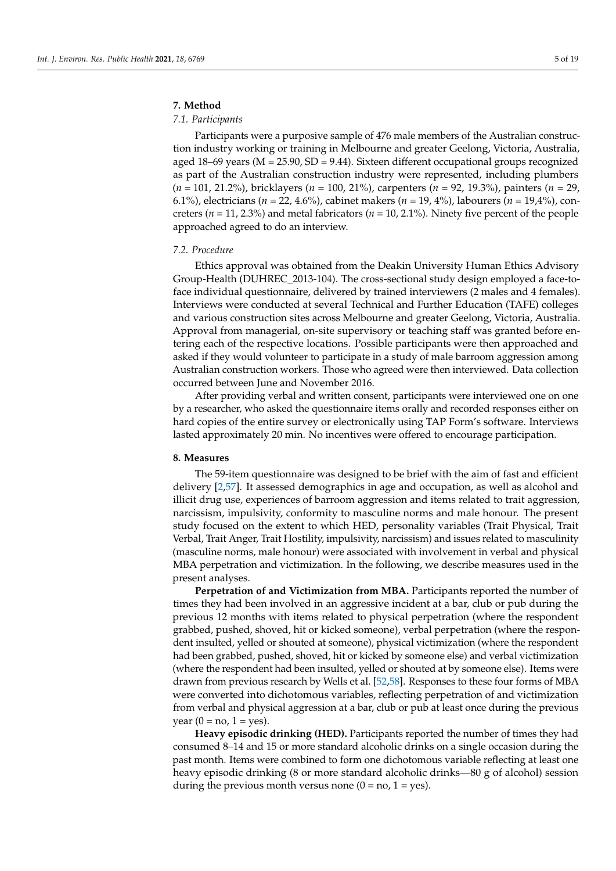## **7. Method**

## *7.1. Participants*

Participants were a purposive sample of 476 male members of the Australian construction industry working or training in Melbourne and greater Geelong, Victoria, Australia, aged  $18-69$  years ( $M = 25.90$ ,  $SD = 9.44$ ). Sixteen different occupational groups recognized as part of the Australian construction industry were represented, including plumbers (*n* = 101, 21.2%), bricklayers (*n* = 100, 21%), carpenters (*n* = 92, 19.3%), painters (*n* = 29, 6.1%), electricians (*n* = 22, 4.6%), cabinet makers (*n* = 19, 4%), labourers (*n* = 19,4%), concreters (*n* = 11, 2.3%) and metal fabricators (*n* = 10, 2.1%). Ninety five percent of the people approached agreed to do an interview.

### *7.2. Procedure*

Ethics approval was obtained from the Deakin University Human Ethics Advisory Group-Health (DUHREC\_2013-104). The cross-sectional study design employed a face-toface individual questionnaire, delivered by trained interviewers (2 males and 4 females). Interviews were conducted at several Technical and Further Education (TAFE) colleges and various construction sites across Melbourne and greater Geelong, Victoria, Australia. Approval from managerial, on-site supervisory or teaching staff was granted before entering each of the respective locations. Possible participants were then approached and asked if they would volunteer to participate in a study of male barroom aggression among Australian construction workers. Those who agreed were then interviewed. Data collection occurred between June and November 2016.

After providing verbal and written consent, participants were interviewed one on one by a researcher, who asked the questionnaire items orally and recorded responses either on hard copies of the entire survey or electronically using TAP Form's software. Interviews lasted approximately 20 min. No incentives were offered to encourage participation.

## **8. Measures**

The 59-item questionnaire was designed to be brief with the aim of fast and efficient delivery [\[2,](#page-16-1)[57\]](#page-18-20). It assessed demographics in age and occupation, as well as alcohol and illicit drug use, experiences of barroom aggression and items related to trait aggression, narcissism, impulsivity, conformity to masculine norms and male honour. The present study focused on the extent to which HED, personality variables (Trait Physical, Trait Verbal, Trait Anger, Trait Hostility, impulsivity, narcissism) and issues related to masculinity (masculine norms, male honour) were associated with involvement in verbal and physical MBA perpetration and victimization. In the following, we describe measures used in the present analyses.

**Perpetration of and Victimization from MBA.** Participants reported the number of times they had been involved in an aggressive incident at a bar, club or pub during the previous 12 months with items related to physical perpetration (where the respondent grabbed, pushed, shoved, hit or kicked someone), verbal perpetration (where the respondent insulted, yelled or shouted at someone), physical victimization (where the respondent had been grabbed, pushed, shoved, hit or kicked by someone else) and verbal victimization (where the respondent had been insulted, yelled or shouted at by someone else). Items were drawn from previous research by Wells et al. [\[52](#page-18-15)[,58\]](#page-18-21). Responses to these four forms of MBA were converted into dichotomous variables, reflecting perpetration of and victimization from verbal and physical aggression at a bar, club or pub at least once during the previous year  $(0 = no, 1 = yes)$ .

**Heavy episodic drinking (HED).** Participants reported the number of times they had consumed 8–14 and 15 or more standard alcoholic drinks on a single occasion during the past month. Items were combined to form one dichotomous variable reflecting at least one heavy episodic drinking (8 or more standard alcoholic drinks—80 g of alcohol) session during the previous month versus none  $(0 = no, 1 = yes)$ .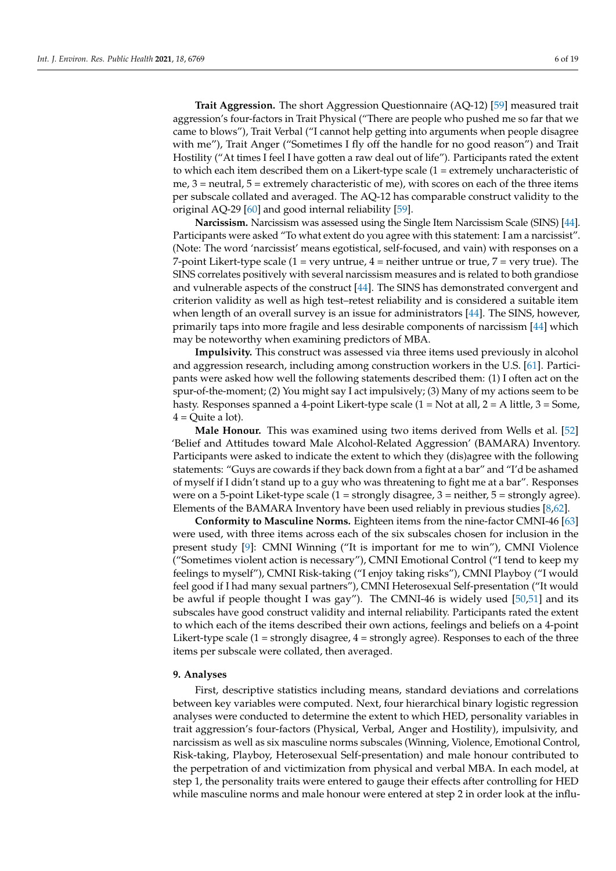**Trait Aggression.** The short Aggression Questionnaire (AQ-12) [\[59\]](#page-18-22) measured trait aggression's four-factors in Trait Physical ("There are people who pushed me so far that we came to blows"), Trait Verbal ("I cannot help getting into arguments when people disagree with me"), Trait Anger ("Sometimes I fly off the handle for no good reason") and Trait Hostility ("At times I feel I have gotten a raw deal out of life"). Participants rated the extent to which each item described them on a Likert-type scale  $(1 =$  extremely uncharacteristic of me,  $3$  = neutral,  $5$  = extremely characteristic of me), with scores on each of the three items per subscale collated and averaged. The AQ-12 has comparable construct validity to the original AQ-29 [\[60\]](#page-18-23) and good internal reliability [\[59\]](#page-18-22).

**Narcissism.** Narcissism was assessed using the Single Item Narcissism Scale (SINS) [\[44\]](#page-18-7). Participants were asked "To what extent do you agree with this statement: I am a narcissist". (Note: The word 'narcissist' means egotistical, self-focused, and vain) with responses on a 7-point Likert-type scale (1 = very untrue, 4 = neither untrue or true, 7 = very true). The SINS correlates positively with several narcissism measures and is related to both grandiose and vulnerable aspects of the construct [\[44\]](#page-18-7). The SINS has demonstrated convergent and criterion validity as well as high test–retest reliability and is considered a suitable item when length of an overall survey is an issue for administrators [\[44\]](#page-18-7). The SINS, however, primarily taps into more fragile and less desirable components of narcissism [\[44\]](#page-18-7) which may be noteworthy when examining predictors of MBA.

**Impulsivity.** This construct was assessed via three items used previously in alcohol and aggression research, including among construction workers in the U.S. [\[61\]](#page-18-24). Participants were asked how well the following statements described them: (1) I often act on the spur-of-the-moment; (2) You might say I act impulsively; (3) Many of my actions seem to be hasty. Responses spanned a 4-point Likert-type scale (1 = Not at all, 2 = A little, 3 = Some,  $4 =$ Quite a lot).

**Male Honour.** This was examined using two items derived from Wells et al. [\[52\]](#page-18-15) 'Belief and Attitudes toward Male Alcohol-Related Aggression' (BAMARA) Inventory. Participants were asked to indicate the extent to which they (dis)agree with the following statements: "Guys are cowards if they back down from a fight at a bar" and "I'd be ashamed of myself if I didn't stand up to a guy who was threatening to fight me at a bar". Responses were on a 5-point Liket-type scale  $(1 =$  strongly disagree,  $3 =$  neither,  $5 =$  strongly agree). Elements of the BAMARA Inventory have been used reliably in previous studies [\[8](#page-17-0)[,62\]](#page-18-25).

**Conformity to Masculine Norms.** Eighteen items from the nine-factor CMNI-46 [\[63\]](#page-18-26) were used, with three items across each of the six subscales chosen for inclusion in the present study [\[9\]](#page-17-1): CMNI Winning ("It is important for me to win"), CMNI Violence ("Sometimes violent action is necessary"), CMNI Emotional Control ("I tend to keep my feelings to myself"), CMNI Risk-taking ("I enjoy taking risks"), CMNI Playboy ("I would feel good if I had many sexual partners"), CMNI Heterosexual Self-presentation ("It would be awful if people thought I was gay"). The CMNI-46 is widely used [\[50](#page-18-13)[,51\]](#page-18-14) and its subscales have good construct validity and internal reliability. Participants rated the extent to which each of the items described their own actions, feelings and beliefs on a 4-point Likert-type scale (1 = strongly disagree, 4 = strongly agree). Responses to each of the three items per subscale were collated, then averaged.

### **9. Analyses**

First, descriptive statistics including means, standard deviations and correlations between key variables were computed. Next, four hierarchical binary logistic regression analyses were conducted to determine the extent to which HED, personality variables in trait aggression's four-factors (Physical, Verbal, Anger and Hostility), impulsivity, and narcissism as well as six masculine norms subscales (Winning, Violence, Emotional Control, Risk-taking, Playboy, Heterosexual Self-presentation) and male honour contributed to the perpetration of and victimization from physical and verbal MBA. In each model, at step 1, the personality traits were entered to gauge their effects after controlling for HED while masculine norms and male honour were entered at step 2 in order look at the influ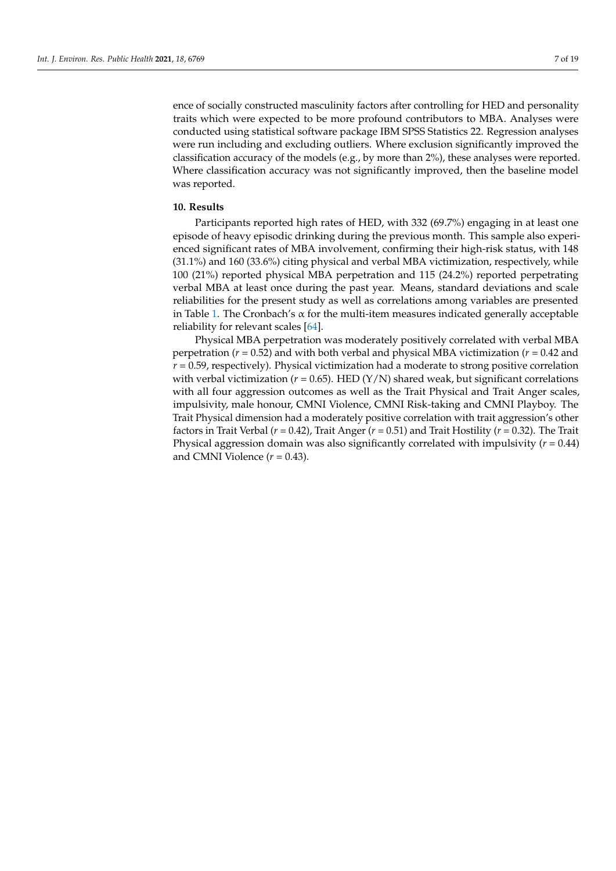ence of socially constructed masculinity factors after controlling for HED and personality traits which were expected to be more profound contributors to MBA. Analyses were conducted using statistical software package IBM SPSS Statistics 22. Regression analyses were run including and excluding outliers. Where exclusion significantly improved the classification accuracy of the models (e.g., by more than 2%), these analyses were reported. Where classification accuracy was not significantly improved, then the baseline model was reported.

#### **10. Results**

Participants reported high rates of HED, with 332 (69.7%) engaging in at least one episode of heavy episodic drinking during the previous month. This sample also experienced significant rates of MBA involvement, confirming their high-risk status, with 148 (31.1%) and 160 (33.6%) citing physical and verbal MBA victimization, respectively, while 100 (21%) reported physical MBA perpetration and 115 (24.2%) reported perpetrating verbal MBA at least once during the past year. Means, standard deviations and scale reliabilities for the present study as well as correlations among variables are presented in Table [1.](#page-8-0) The Cronbach's  $\alpha$  for the multi-item measures indicated generally acceptable reliability for relevant scales [\[64\]](#page-18-27).

Physical MBA perpetration was moderately positively correlated with verbal MBA perpetration (*r* = 0.52) and with both verbal and physical MBA victimization (*r* = 0.42 and  $r = 0.59$ , respectively). Physical victimization had a moderate to strong positive correlation with verbal victimization ( $r = 0.65$ ). HED ( $Y/N$ ) shared weak, but significant correlations with all four aggression outcomes as well as the Trait Physical and Trait Anger scales, impulsivity, male honour, CMNI Violence, CMNI Risk-taking and CMNI Playboy. The Trait Physical dimension had a moderately positive correlation with trait aggression's other factors in Trait Verbal (*r* = 0.42), Trait Anger (*r* = 0.51) and Trait Hostility (*r* = 0.32). The Trait Physical aggression domain was also significantly correlated with impulsivity (*r* = 0.44) and CMNI Violence  $(r = 0.43)$ .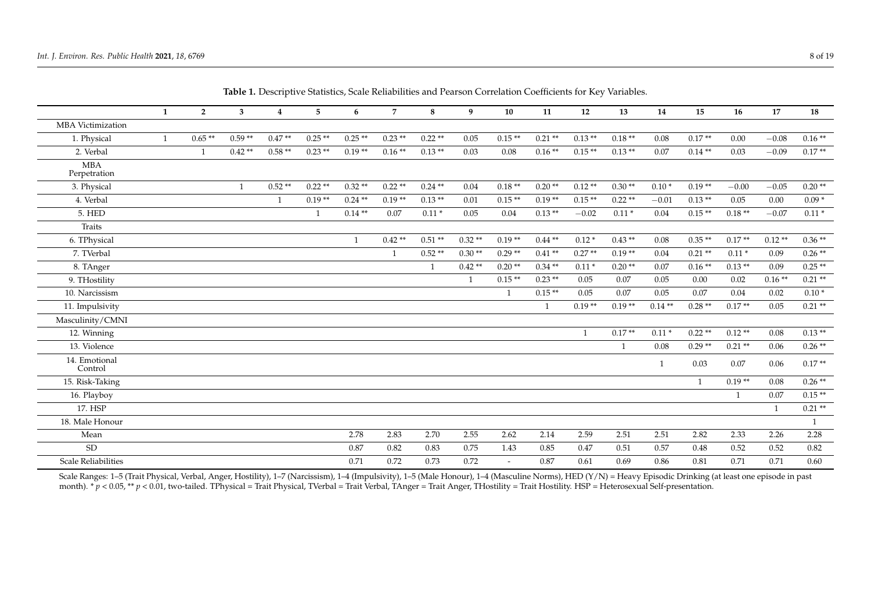| Table 1. Descriptive statistics, seale remainines and I carson Correlation Coemetents for INCY Variables. |   |                |              |                |                |              |                |              |              |                          |                |              |          |              |              |          |              |              |
|-----------------------------------------------------------------------------------------------------------|---|----------------|--------------|----------------|----------------|--------------|----------------|--------------|--------------|--------------------------|----------------|--------------|----------|--------------|--------------|----------|--------------|--------------|
|                                                                                                           | 1 | $\overline{2}$ | 3            | $\overline{4}$ | 5 <sub>5</sub> | 6            | $\overline{7}$ | 8            | 9            | 10                       | 11             | 12           | 13       | 14           | 15           | 16       | 17           | 18           |
| <b>MBA</b> Victimization                                                                                  |   |                |              |                |                |              |                |              |              |                          |                |              |          |              |              |          |              |              |
| 1. Physical                                                                                               | 1 | $0.65**$       | $0.59**$     | $0.47**$       | $0.25**$       | $0.25**$     | $0.23**$       | $0.22**$     | 0.05         | $0.15**$                 | $0.21**$       | $0.13**$     | $0.18**$ | 0.08         | $0.17**$     | 0.00     | $-0.08$      | $0.16**$     |
| 2. Verbal                                                                                                 |   |                | $0.42**$     | $0.58**$       | $0.23**$       | $0.19**$     | $0.16**$       | $0.13**$     | 0.03         | 0.08                     | $0.16**$       | $0.15**$     | $0.13**$ | 0.07         | $0.14**$     | 0.03     | $-0.09$      | $0.17**$     |
| <b>MBA</b><br>Perpetration                                                                                |   |                |              |                |                |              |                |              |              |                          |                |              |          |              |              |          |              |              |
| 3. Physical                                                                                               |   |                | $\mathbf{1}$ | $0.52**$       | $0.22**$       | $0.32**$     | $0.22**$       | $0.24$ **    | 0.04         | $0.18**$                 | $0.20**$       | $0.12**$     | $0.30**$ | $0.10*$      | $0.19**$     | $-0.00$  | $-0.05$      | $0.20**$     |
| 4. Verbal                                                                                                 |   |                |              | $\overline{1}$ | $0.19**$       | $0.24$ **    | $0.19**$       | $0.13**$     | 0.01         | $0.15**$                 | $0.19**$       | $0.15**$     | $0.22**$ | $-0.01$      | $0.13**$     | 0.05     | 0.00         | $0.09*$      |
| <b>5. HED</b>                                                                                             |   |                |              |                | $\mathbf{1}$   | $0.14**$     | 0.07           | $0.11*$      | 0.05         | 0.04                     | $0.13**$       | $-0.02$      | $0.11*$  | 0.04         | $0.15**$     | $0.18**$ | $-0.07$      | $0.11\,^*$   |
| Traits                                                                                                    |   |                |              |                |                |              |                |              |              |                          |                |              |          |              |              |          |              |              |
| 6. TPhysical                                                                                              |   |                |              |                |                | $\mathbf{1}$ | $0.42**$       | $0.51**$     | $0.32**$     | $0.19**$                 | $0.44**$       | $0.12*$      | $0.43**$ | 0.08         | $0.35**$     | $0.17**$ | $0.12**$     | $0.36**$     |
| 7. TVerbal                                                                                                |   |                |              |                |                |              | $\mathbf{1}$   | $0.52**$     | $0.30**$     | $0.29**$                 | $0.41**$       | $0.27**$     | $0.19**$ | 0.04         | $0.21**$     | $0.11*$  | 0.09         | $0.26**$     |
| 8. TAnger                                                                                                 |   |                |              |                |                |              |                | $\mathbf{1}$ | $0.42**$     | $0.20**$                 | $0.34**$       | $0.11*$      | $0.20**$ | 0.07         | $0.16**$     | $0.13**$ | 0.09         | $0.25**$     |
| 9. THostility                                                                                             |   |                |              |                |                |              |                |              | $\mathbf{1}$ | $0.15**$                 | $0.23$ **      | 0.05         | 0.07     | 0.05         | 0.00         | 0.02     | $0.16**$     | $0.21**$     |
| 10. Narcissism                                                                                            |   |                |              |                |                |              |                |              |              | $\mathbf{1}$             | $0.15**$       | 0.05         | 0.07     | 0.05         | 0.07         | 0.04     | 0.02         | $0.10*$      |
| 11. Impulsivity                                                                                           |   |                |              |                |                |              |                |              |              |                          | $\overline{1}$ | $0.19**$     | $0.19**$ | $0.14**$     | $0.28**$     | $0.17**$ | 0.05         | $0.21**$     |
| Masculinity/CMNI                                                                                          |   |                |              |                |                |              |                |              |              |                          |                |              |          |              |              |          |              |              |
| 12. Winning                                                                                               |   |                |              |                |                |              |                |              |              |                          |                | $\mathbf{1}$ | $0.17**$ | $0.11*$      | $0.22**$     | $0.12**$ | 0.08         | $0.13**$     |
| 13. Violence                                                                                              |   |                |              |                |                |              |                |              |              |                          |                |              | 1        | 0.08         | $0.29**$     | $0.21**$ | 0.06         | $0.26**$     |
| 14. Emotional<br>Control                                                                                  |   |                |              |                |                |              |                |              |              |                          |                |              |          | $\mathbf{1}$ | 0.03         | 0.07     | 0.06         | $0.17**$     |
| 15. Risk-Taking                                                                                           |   |                |              |                |                |              |                |              |              |                          |                |              |          |              | $\mathbf{1}$ | $0.19**$ | 0.08         | $0.26**$     |
| 16. Playboy                                                                                               |   |                |              |                |                |              |                |              |              |                          |                |              |          |              |              | 1        | 0.07         | $0.15**$     |
| 17. HSP                                                                                                   |   |                |              |                |                |              |                |              |              |                          |                |              |          |              |              |          | $\mathbf{1}$ | $0.21**$     |
| 18. Male Honour                                                                                           |   |                |              |                |                |              |                |              |              |                          |                |              |          |              |              |          |              | $\mathbf{1}$ |
| Mean                                                                                                      |   |                |              |                |                | 2.78         | 2.83           | 2.70         | 2.55         | 2.62                     | 2.14           | 2.59         | 2.51     | 2.51         | 2.82         | 2.33     | 2.26         | 2.28         |
| SD                                                                                                        |   |                |              |                |                | 0.87         | 0.82           | 0.83         | 0.75         | 1.43                     | 0.85           | 0.47         | 0.51     | 0.57         | 0.48         | 0.52     | 0.52         | 0.82         |
| <b>Scale Reliabilities</b>                                                                                |   |                |              |                |                | 0.71         | 0.72           | 0.73         | 0.72         | $\overline{\phantom{a}}$ | 0.87           | 0.61         | 0.69     | 0.86         | 0.81         | 0.71     | 0.71         | 0.60         |

**Table 1.** Descriptive Statistics, Scale Reliabilities and Pearson Correlation Coefficients for Key Variables.

<span id="page-8-0"></span>Scale Ranges: 1–5 (Trait Physical, Verbal, Anger, Hostility), 1–7 (Narcissism), 1–4 (Impulsivity), 1–5 (Male Honour), 1–4 (Masculine Norms), HED (Y/N) = Heavy Episodic Drinking (at least one episode in past month). \* *p* < 0.05, \*\* *p* < 0.01, two-tailed. TPhysical = Trait Physical, TVerbal = Trait Verbal, TAnger = Trait Anger, THostility = Trait Hostility. HSP = Heterosexual Self-presentation.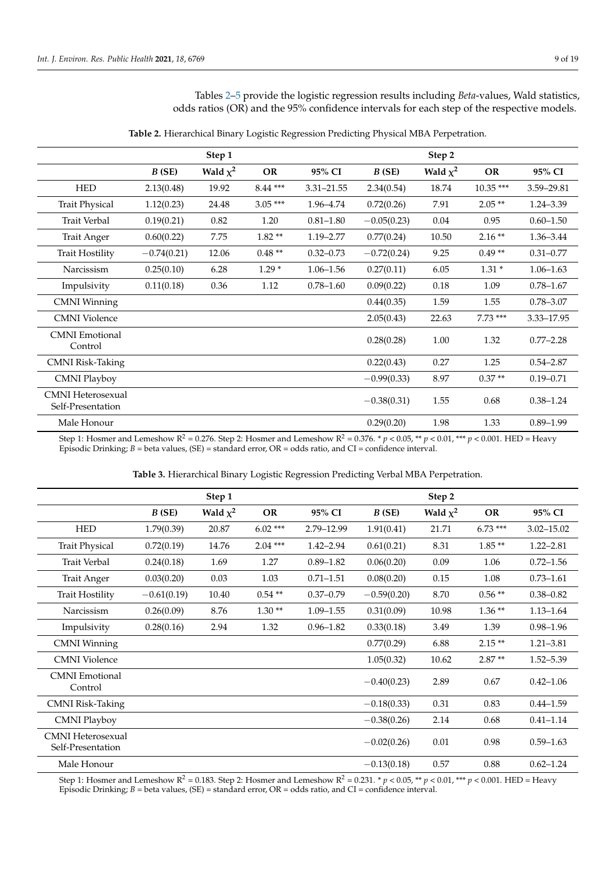Tables [2–](#page-9-0)[5](#page-10-0) provide the logistic regression results including *Beta*-values, Wald statistics, odds ratios (OR) and the 95% confidence intervals for each step of the respective models.

<span id="page-9-0"></span>

|                                               |               | Step 1        |           |               |               | Step 2        |            |               |
|-----------------------------------------------|---------------|---------------|-----------|---------------|---------------|---------------|------------|---------------|
|                                               | B(SE)         | Wald $\chi^2$ | <b>OR</b> | 95% CI        | B(SE)         | Wald $\chi^2$ | OR         | 95% CI        |
| <b>HED</b>                                    | 2.13(0.48)    | 19.92         | $8.44***$ | 3.31-21.55    | 2.34(0.54)    | 18.74         | $10.35***$ | 3.59-29.81    |
| <b>Trait Physical</b>                         | 1.12(0.23)    | 24.48         | $3.05***$ | 1.96-4.74     | 0.72(0.26)    | 7.91          | $2.05**$   | $1.24 - 3.39$ |
| <b>Trait Verbal</b>                           | 0.19(0.21)    | 0.82          | 1.20      | $0.81 - 1.80$ | $-0.05(0.23)$ | 0.04          | 0.95       | $0.60 - 1.50$ |
| <b>Trait Anger</b>                            | 0.60(0.22)    | 7.75          | $1.82**$  | 1.19 - 2.77   | 0.77(0.24)    | 10.50         | $2.16**$   | 1.36-3.44     |
| <b>Trait Hostility</b>                        | $-0.74(0.21)$ | 12.06         | $0.48**$  | $0.32 - 0.73$ | $-0.72(0.24)$ | 9.25          | $0.49**$   | $0.31 - 0.77$ |
| Narcissism                                    | 0.25(0.10)    | 6.28          | $1.29*$   | $1.06 - 1.56$ | 0.27(0.11)    | 6.05          | $1.31*$    | $1.06 - 1.63$ |
| Impulsivity                                   | 0.11(0.18)    | 0.36          | 1.12      | $0.78 - 1.60$ | 0.09(0.22)    | 0.18          | 1.09       | $0.78 - 1.67$ |
| <b>CMNI</b> Winning                           |               |               |           |               | 0.44(0.35)    | 1.59          | 1.55       | $0.78 - 3.07$ |
| <b>CMNI</b> Violence                          |               |               |           |               | 2.05(0.43)    | 22.63         | $7.73***$  | 3.33-17.95    |
| <b>CMNI</b> Emotional<br>Control              |               |               |           |               | 0.28(0.28)    | 1.00          | 1.32       | $0.77 - 2.28$ |
| <b>CMNI Risk-Taking</b>                       |               |               |           |               | 0.22(0.43)    | 0.27          | 1.25       | $0.54 - 2.87$ |
| <b>CMNI Playboy</b>                           |               |               |           |               | $-0.99(0.33)$ | 8.97          | $0.37**$   | $0.19 - 0.71$ |
| <b>CMNI</b> Heterosexual<br>Self-Presentation |               |               |           |               | $-0.38(0.31)$ | 1.55          | 0.68       | $0.38 - 1.24$ |
| Male Honour                                   |               |               |           |               | 0.29(0.20)    | 1.98          | 1.33       | $0.89 - 1.99$ |

**Table 2.** Hierarchical Binary Logistic Regression Predicting Physical MBA Perpetration.

Step 1: Hosmer and Lemeshow  $R^2 = 0.276$ . Step 2: Hosmer and Lemeshow  $R^2 = 0.376$ . \*  $p < 0.05$ , \*\*  $p < 0.01$ , \*\*\*  $p < 0.001$ . HED = Heavy Episodic Drinking; *B* = beta values, (SE) = standard error, OR = odds ratio, and CI = confidence interval.

<span id="page-9-1"></span>

|                                               |               | Step 1        |           |               |               | Step 2        |           |                |
|-----------------------------------------------|---------------|---------------|-----------|---------------|---------------|---------------|-----------|----------------|
|                                               | B(SE)         | Wald $\chi^2$ | <b>OR</b> | 95% CI        | B(SE)         | Wald $\chi^2$ | <b>OR</b> | 95% CI         |
| <b>HED</b>                                    | 1.79(0.39)    | 20.87         | $6.02***$ | 2.79-12.99    | 1.91(0.41)    | 21.71         | $6.73***$ | $3.02 - 15.02$ |
| <b>Trait Physical</b>                         | 0.72(0.19)    | 14.76         | $2.04***$ | $1.42 - 2.94$ | 0.61(0.21)    | 8.31          | $1.85**$  | $1.22 - 2.81$  |
| <b>Trait Verbal</b>                           | 0.24(0.18)    | 1.69          | 1.27      | $0.89 - 1.82$ | 0.06(0.20)    | 0.09          | 1.06      | $0.72 - 1.56$  |
| <b>Trait Anger</b>                            | 0.03(0.20)    | 0.03          | 1.03      | $0.71 - 1.51$ | 0.08(0.20)    | 0.15          | 1.08      | $0.73 - 1.61$  |
| <b>Trait Hostility</b>                        | $-0.61(0.19)$ | 10.40         | $0.54**$  | $0.37 - 0.79$ | $-0.59(0.20)$ | 8.70          | $0.56**$  | $0.38 - 0.82$  |
| Narcissism                                    | 0.26(0.09)    | 8.76          | $1.30**$  | $1.09 - 1.55$ | 0.31(0.09)    | 10.98         | $1.36**$  | $1.13 - 1.64$  |
| Impulsivity                                   | 0.28(0.16)    | 2.94          | 1.32      | $0.96 - 1.82$ | 0.33(0.18)    | 3.49          | 1.39      | $0.98 - 1.96$  |
| <b>CMNI</b> Winning                           |               |               |           |               | 0.77(0.29)    | 6.88          | $2.15**$  | $1.21 - 3.81$  |
| <b>CMNI</b> Violence                          |               |               |           |               | 1.05(0.32)    | 10.62         | $2.87**$  | $1.52 - 5.39$  |
| <b>CMNI</b> Emotional<br>Control              |               |               |           |               | $-0.40(0.23)$ | 2.89          | 0.67      | $0.42 - 1.06$  |
| <b>CMNI Risk-Taking</b>                       |               |               |           |               | $-0.18(0.33)$ | 0.31          | 0.83      | $0.44 - 1.59$  |
| <b>CMNI Playboy</b>                           |               |               |           |               | $-0.38(0.26)$ | 2.14          | 0.68      | $0.41 - 1.14$  |
| <b>CMNI</b> Heterosexual<br>Self-Presentation |               |               |           |               | $-0.02(0.26)$ | 0.01          | 0.98      | $0.59 - 1.63$  |
| Male Honour                                   |               |               |           |               | $-0.13(0.18)$ | 0.57          | 0.88      | $0.62 - 1.24$  |

**Table 3.** Hierarchical Binary Logistic Regression Predicting Verbal MBA Perpetration.

Step 1: Hosmer and Lemeshow  $R^2 = 0.183$ . Step 2: Hosmer and Lemeshow  $R^2 = 0.231$ .  $* p < 0.05$ ,  $** p < 0.01$ ,  $*** p < 0.001$ . HED = Heavy Episodic Drinking; *B* = beta values, (SE) = standard error, OR = odds ratio, and CI = confidence interval.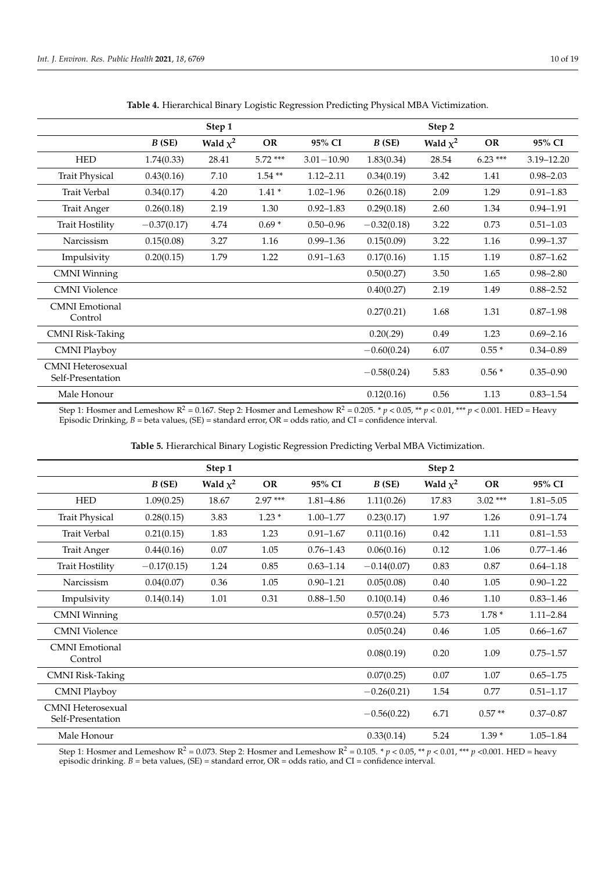<span id="page-10-1"></span>

|                                        |               | Step 1        |           |                |               | Step 2        |           |                |
|----------------------------------------|---------------|---------------|-----------|----------------|---------------|---------------|-----------|----------------|
|                                        | B(SE)         | Wald $\chi^2$ | <b>OR</b> | 95% CI         | B(SE)         | Wald $\chi^2$ | <b>OR</b> | 95% CI         |
| <b>HED</b>                             | 1.74(0.33)    | 28.41         | $5.72***$ | $3.01 - 10.90$ | 1.83(0.34)    | 28.54         | $6.23***$ | $3.19 - 12.20$ |
| <b>Trait Physical</b>                  | 0.43(0.16)    | 7.10          | $1.54**$  | $1.12 - 2.11$  | 0.34(0.19)    | 3.42          | 1.41      | $0.98 - 2.03$  |
| <b>Trait Verbal</b>                    | 0.34(0.17)    | 4.20          | $1.41*$   | $1.02 - 1.96$  | 0.26(0.18)    | 2.09          | 1.29      | $0.91 - 1.83$  |
| <b>Trait Anger</b>                     | 0.26(0.18)    | 2.19          | 1.30      | $0.92 - 1.83$  | 0.29(0.18)    | 2.60          | 1.34      | $0.94 - 1.91$  |
| <b>Trait Hostility</b>                 | $-0.37(0.17)$ | 4.74          | $0.69*$   | $0.50 - 0.96$  | $-0.32(0.18)$ | 3.22          | 0.73      | $0.51 - 1.03$  |
| Narcissism                             | 0.15(0.08)    | 3.27          | 1.16      | $0.99 - 1.36$  | 0.15(0.09)    | 3.22          | 1.16      | $0.99 - 1.37$  |
| Impulsivity                            | 0.20(0.15)    | 1.79          | 1.22      | $0.91 - 1.63$  | 0.17(0.16)    | 1.15          | 1.19      | $0.87 - 1.62$  |
| <b>CMNI</b> Winning                    |               |               |           |                | 0.50(0.27)    | 3.50          | 1.65      | $0.98 - 2.80$  |
| <b>CMNI</b> Violence                   |               |               |           |                | 0.40(0.27)    | 2.19          | 1.49      | $0.88 - 2.52$  |
| <b>CMNI</b> Emotional<br>Control       |               |               |           |                | 0.27(0.21)    | 1.68          | 1.31      | $0.87 - 1.98$  |
| <b>CMNI Risk-Taking</b>                |               |               |           |                | 0.20(.29)     | 0.49          | 1.23      | $0.69 - 2.16$  |
| <b>CMNI Playboy</b>                    |               |               |           |                | $-0.60(0.24)$ | 6.07          | $0.55*$   | $0.34 - 0.89$  |
| CMNI Heterosexual<br>Self-Presentation |               |               |           |                | $-0.58(0.24)$ | 5.83          | $0.56*$   | $0.35 - 0.90$  |
| Male Honour                            |               |               |           |                | 0.12(0.16)    | 0.56          | 1.13      | $0.83 - 1.54$  |

**Table 4.** Hierarchical Binary Logistic Regression Predicting Physical MBA Victimization.

Step 1: Hosmer and Lemeshow  $R^2 = 0.167$ . Step 2: Hosmer and Lemeshow  $R^2 = 0.205$ .  $*$   $p < 0.05$ ,  $*$   $p < 0.01$ ,  $***$   $p < 0.001$ . HED = Heavy Episodic Drinking, *B* = beta values, (SE) = standard error, OR = odds ratio, and CI = confidence interval.

|  |  |  |  |  |  |  | Table 5. Hierarchical Binary Logistic Regression Predicting Verbal MBA Victimization. |
|--|--|--|--|--|--|--|---------------------------------------------------------------------------------------|
|--|--|--|--|--|--|--|---------------------------------------------------------------------------------------|

<span id="page-10-0"></span>

|                                               |               | Step 1        |           |               |               | Step 2        |           |               |
|-----------------------------------------------|---------------|---------------|-----------|---------------|---------------|---------------|-----------|---------------|
|                                               | B(SE)         | Wald $\chi^2$ | OR        | 95% CI        | B(SE)         | Wald $\chi^2$ | <b>OR</b> | 95% CI        |
| <b>HED</b>                                    | 1.09(0.25)    | 18.67         | $2.97***$ | 1.81-4.86     | 1.11(0.26)    | 17.83         | $3.02***$ | $1.81 - 5.05$ |
| <b>Trait Physical</b>                         | 0.28(0.15)    | 3.83          | $1.23*$   | $1.00 - 1.77$ | 0.23(0.17)    | 1.97          | 1.26      | $0.91 - 1.74$ |
| <b>Trait Verbal</b>                           | 0.21(0.15)    | 1.83          | 1.23      | $0.91 - 1.67$ | 0.11(0.16)    | 0.42          | 1.11      | $0.81 - 1.53$ |
| <b>Trait Anger</b>                            | 0.44(0.16)    | 0.07          | 1.05      | $0.76 - 1.43$ | 0.06(0.16)    | 0.12          | 1.06      | $0.77 - 1.46$ |
| <b>Trait Hostility</b>                        | $-0.17(0.15)$ | 1.24          | 0.85      | $0.63 - 1.14$ | $-0.14(0.07)$ | 0.83          | 0.87      | $0.64 - 1.18$ |
| Narcissism                                    | 0.04(0.07)    | 0.36          | 1.05      | $0.90 - 1.21$ | 0.05(0.08)    | 0.40          | 1.05      | $0.90 - 1.22$ |
| Impulsivity                                   | 0.14(0.14)    | 1.01          | 0.31      | $0.88 - 1.50$ | 0.10(0.14)    | 0.46          | 1.10      | $0.83 - 1.46$ |
| <b>CMNI</b> Winning                           |               |               |           |               | 0.57(0.24)    | 5.73          | $1.78*$   | $1.11 - 2.84$ |
| <b>CMNI</b> Violence                          |               |               |           |               | 0.05(0.24)    | 0.46          | 1.05      | $0.66 - 1.67$ |
| <b>CMNI</b> Emotional<br>Control              |               |               |           |               | 0.08(0.19)    | 0.20          | 1.09      | $0.75 - 1.57$ |
| <b>CMNI Risk-Taking</b>                       |               |               |           |               | 0.07(0.25)    | 0.07          | 1.07      | $0.65 - 1.75$ |
| <b>CMNI Playboy</b>                           |               |               |           |               | $-0.26(0.21)$ | 1.54          | 0.77      | $0.51 - 1.17$ |
| <b>CMNI</b> Heterosexual<br>Self-Presentation |               |               |           |               | $-0.56(0.22)$ | 6.71          | $0.57**$  | $0.37 - 0.87$ |
| Male Honour                                   |               |               |           |               | 0.33(0.14)    | 5.24          | $1.39*$   | $1.05 - 1.84$ |

Step 1: Hosmer and Lemeshow  $R^2 = 0.073$ . Step 2: Hosmer and Lemeshow  $R^2 = 0.105$ . \*  $p < 0.05$ , \*\*  $p < 0.01$ , \*\*\*  $p < 0.001$ . HED = heavy episodic drinking. *B* = beta values, (SE) = standard error, OR = odds ratio, and CI = confidence interval.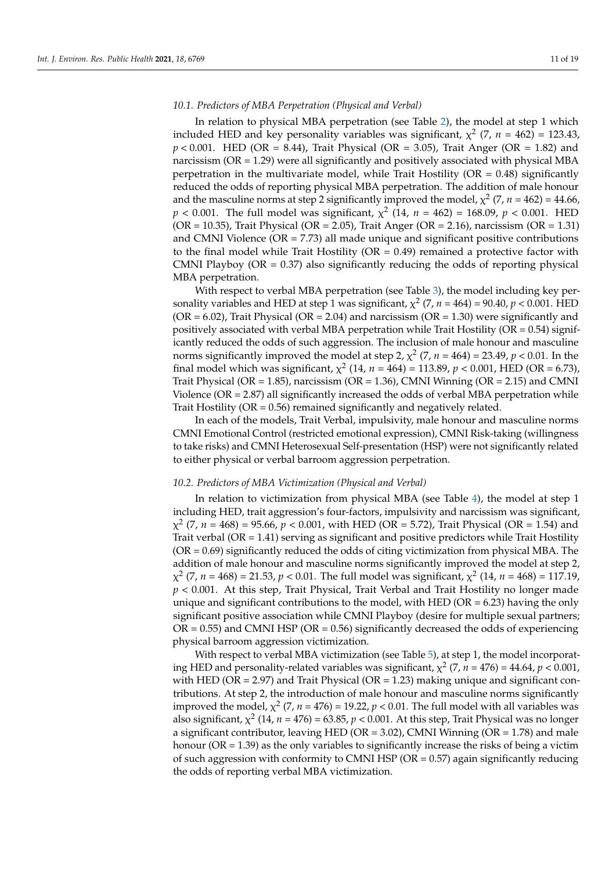## *10.1. Predictors of MBA Perpetration (Physical and Verbal)*

In relation to physical MBA perpetration (see Table [2\)](#page-9-0), the model at step 1 which included HED and key personality variables was significant,  $\chi^2$  (7,  $n = 462$ ) = 123.43, *p* < 0.001. HED (OR = 8.44), Trait Physical (OR = 3.05), Trait Anger (OR = 1.82) and narcissism (OR = 1.29) were all significantly and positively associated with physical MBA perpetration in the multivariate model, while Trait Hostility ( $OR = 0.48$ ) significantly reduced the odds of reporting physical MBA perpetration. The addition of male honour and the masculine norms at step 2 significantly improved the model,  $\chi^2$  (7, *n* = 462) = 44.66,  $p < 0.001$ . The full model was significant,  $\chi^2$  (14,  $n = 462$ ) = 168.09,  $p < 0.001$ . HED (OR = 10.35), Trait Physical (OR = 2.05), Trait Anger (OR = 2.16), narcissism (OR = 1.31) and CMNI Violence ( $OR = 7.73$ ) all made unique and significant positive contributions to the final model while Trait Hostility  $(OR = 0.49)$  remained a protective factor with CMNI Playboy ( $OR = 0.37$ ) also significantly reducing the odds of reporting physical MBA perpetration.

With respect to verbal MBA perpetration (see Table [3\)](#page-9-1), the model including key personality variables and HED at step 1 was significant,  $\chi^2$  (7,  $n = 464$ ) = 90.40,  $p < 0.001$ . HED  $(OR = 6.02)$ , Trait Physical  $(OR = 2.04)$  and narcissism  $(OR = 1.30)$  were significantly and positively associated with verbal MBA perpetration while Trait Hostility ( $OR = 0.54$ ) significantly reduced the odds of such aggression. The inclusion of male honour and masculine norms significantly improved the model at step 2,  $\chi^2$  (7,  $n = 464$ ) = 23.49,  $p < 0.01$ . In the final model which was significant,  $\chi^2$  (14,  $n = 464$ ) = 113.89,  $p < 0.001$ , HED (OR = 6.73), Trait Physical ( $OR = 1.85$ ), narcissism ( $OR = 1.36$ ), CMNI Winning ( $OR = 2.15$ ) and CMNI Violence (OR = 2.87) all significantly increased the odds of verbal MBA perpetration while Trait Hostility (OR = 0.56) remained significantly and negatively related.

In each of the models, Trait Verbal, impulsivity, male honour and masculine norms CMNI Emotional Control (restricted emotional expression), CMNI Risk-taking (willingness to take risks) and CMNI Heterosexual Self-presentation (HSP) were not significantly related to either physical or verbal barroom aggression perpetration.

#### *10.2. Predictors of MBA Victimization (Physical and Verbal)*

In relation to victimization from physical MBA (see Table [4\)](#page-10-1), the model at step 1 including HED, trait aggression's four-factors, impulsivity and narcissism was significant,  $\chi^2$  (7, *n* = 468) = 95.66, *p* < 0.001, with HED (OR = 5.72), Trait Physical (OR = 1.54) and Trait verbal ( $OR = 1.41$ ) serving as significant and positive predictors while Trait Hostility  $(OR = 0.69)$  significantly reduced the odds of citing victimization from physical MBA. The addition of male honour and masculine norms significantly improved the model at step 2, χ 2 (7, *n* = 468) = 21.53, *p* < 0.01. The full model was significant, χ 2 (14, *n* = 468) = 117.19, *p* < 0.001. At this step, Trait Physical, Trait Verbal and Trait Hostility no longer made unique and significant contributions to the model, with HED ( $OR = 6.23$ ) having the only significant positive association while CMNI Playboy (desire for multiple sexual partners;  $OR = 0.55$ ) and CMNI HSP ( $OR = 0.56$ ) significantly decreased the odds of experiencing physical barroom aggression victimization.

With respect to verbal MBA victimization (see Table [5\)](#page-10-0), at step 1, the model incorporating HED and personality-related variables was significant,  $\chi^2$  (7,  $n = 476$ ) =  $44.64$ ,  $p < 0.001$ , with HED (OR = 2.97) and Trait Physical (OR = 1.23) making unique and significant contributions. At step 2, the introduction of male honour and masculine norms significantly improved the model,  $\chi^2$  (7, *n* = 476) = 19.22, *p* < 0.01. The full model with all variables was also significant,  $\chi^2$  (14,  $n = 476$ ) = 63.85,  $p < 0.001$ . At this step, Trait Physical was no longer a significant contributor, leaving HED ( $OR = 3.02$ ), CMNI Winning ( $OR = 1.78$ ) and male honour ( $OR = 1.39$ ) as the only variables to significantly increase the risks of being a victim of such aggression with conformity to CMNI HSP ( $OR = 0.57$ ) again significantly reducing the odds of reporting verbal MBA victimization.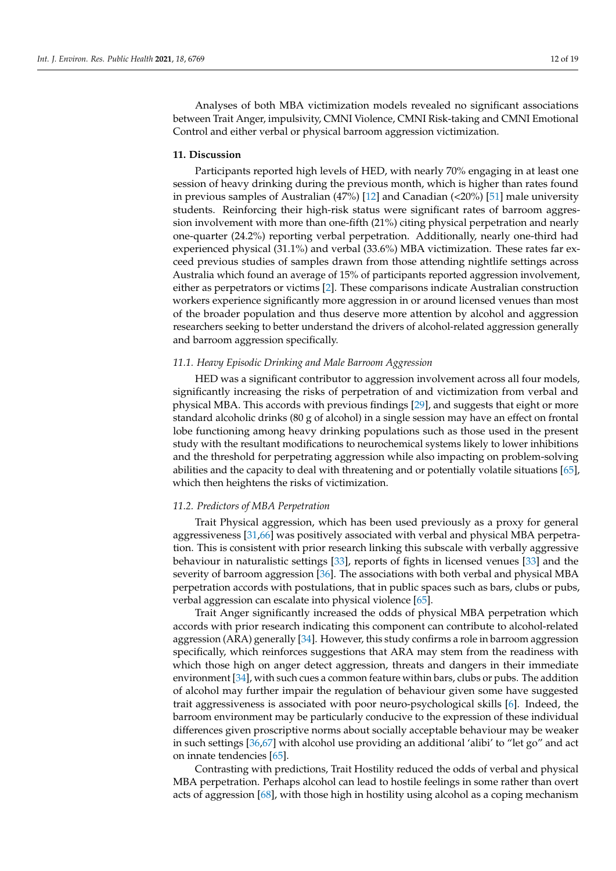Analyses of both MBA victimization models revealed no significant associations between Trait Anger, impulsivity, CMNI Violence, CMNI Risk-taking and CMNI Emotional Control and either verbal or physical barroom aggression victimization.

## **11. Discussion**

Participants reported high levels of HED, with nearly 70% engaging in at least one session of heavy drinking during the previous month, which is higher than rates found in previous samples of Australian (47%) [\[12\]](#page-17-4) and Canadian (<20%) [\[51\]](#page-18-14) male university students. Reinforcing their high-risk status were significant rates of barroom aggression involvement with more than one-fifth (21%) citing physical perpetration and nearly one-quarter (24.2%) reporting verbal perpetration. Additionally, nearly one-third had experienced physical (31.1%) and verbal (33.6%) MBA victimization. These rates far exceed previous studies of samples drawn from those attending nightlife settings across Australia which found an average of 15% of participants reported aggression involvement, either as perpetrators or victims [\[2\]](#page-16-1). These comparisons indicate Australian construction workers experience significantly more aggression in or around licensed venues than most of the broader population and thus deserve more attention by alcohol and aggression researchers seeking to better understand the drivers of alcohol-related aggression generally and barroom aggression specifically.

## *11.1. Heavy Episodic Drinking and Male Barroom Aggression*

HED was a significant contributor to aggression involvement across all four models, significantly increasing the risks of perpetration of and victimization from verbal and physical MBA. This accords with previous findings [\[29\]](#page-17-21), and suggests that eight or more standard alcoholic drinks (80 g of alcohol) in a single session may have an effect on frontal lobe functioning among heavy drinking populations such as those used in the present study with the resultant modifications to neurochemical systems likely to lower inhibitions and the threshold for perpetrating aggression while also impacting on problem-solving abilities and the capacity to deal with threatening and or potentially volatile situations [\[65\]](#page-18-28), which then heightens the risks of victimization.

#### *11.2. Predictors of MBA Perpetration*

Trait Physical aggression, which has been used previously as a proxy for general aggressiveness [\[31](#page-17-20)[,66\]](#page-19-0) was positively associated with verbal and physical MBA perpetration. This is consistent with prior research linking this subscale with verbally aggressive behaviour in naturalistic settings [\[33\]](#page-17-23), reports of fights in licensed venues [\[33\]](#page-17-23) and the severity of barroom aggression [\[36\]](#page-17-26). The associations with both verbal and physical MBA perpetration accords with postulations, that in public spaces such as bars, clubs or pubs, verbal aggression can escalate into physical violence [\[65\]](#page-18-28).

Trait Anger significantly increased the odds of physical MBA perpetration which accords with prior research indicating this component can contribute to alcohol-related aggression (ARA) generally [\[34\]](#page-17-24). However, this study confirms a role in barroom aggression specifically, which reinforces suggestions that ARA may stem from the readiness with which those high on anger detect aggression, threats and dangers in their immediate environment [\[34\]](#page-17-24), with such cues a common feature within bars, clubs or pubs. The addition of alcohol may further impair the regulation of behaviour given some have suggested trait aggressiveness is associated with poor neuro-psychological skills [\[6\]](#page-16-5). Indeed, the barroom environment may be particularly conducive to the expression of these individual differences given proscriptive norms about socially acceptable behaviour may be weaker in such settings [\[36,](#page-17-26)[67\]](#page-19-1) with alcohol use providing an additional 'alibi' to "let go" and act on innate tendencies [\[65\]](#page-18-28).

Contrasting with predictions, Trait Hostility reduced the odds of verbal and physical MBA perpetration. Perhaps alcohol can lead to hostile feelings in some rather than overt acts of aggression [\[68\]](#page-19-2), with those high in hostility using alcohol as a coping mechanism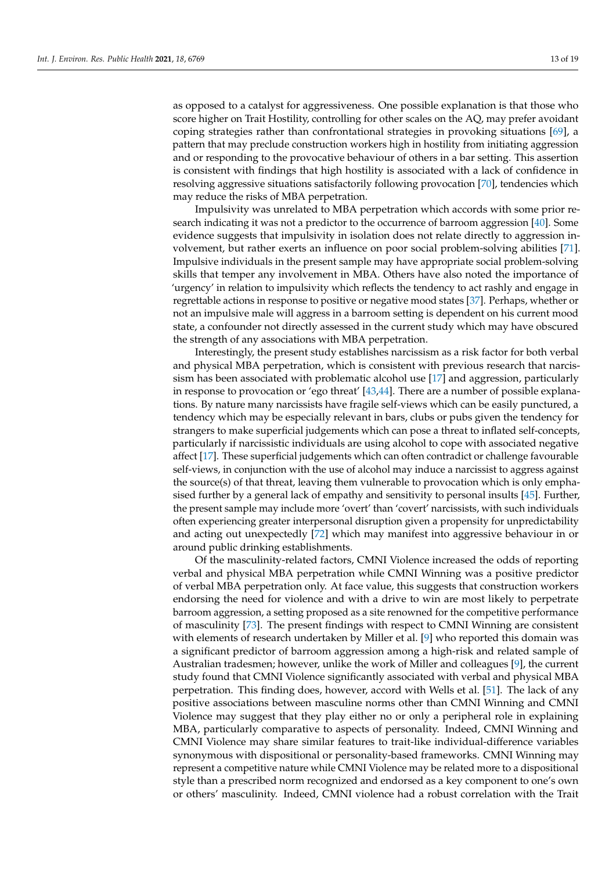as opposed to a catalyst for aggressiveness. One possible explanation is that those who score higher on Trait Hostility, controlling for other scales on the AQ, may prefer avoidant coping strategies rather than confrontational strategies in provoking situations [\[69\]](#page-19-3), a pattern that may preclude construction workers high in hostility from initiating aggression and or responding to the provocative behaviour of others in a bar setting. This assertion is consistent with findings that high hostility is associated with a lack of confidence in resolving aggressive situations satisfactorily following provocation [\[70\]](#page-19-4), tendencies which may reduce the risks of MBA perpetration.

Impulsivity was unrelated to MBA perpetration which accords with some prior research indicating it was not a predictor to the occurrence of barroom aggression [\[40\]](#page-18-3). Some evidence suggests that impulsivity in isolation does not relate directly to aggression involvement, but rather exerts an influence on poor social problem-solving abilities [\[71\]](#page-19-5). Impulsive individuals in the present sample may have appropriate social problem-solving skills that temper any involvement in MBA. Others have also noted the importance of 'urgency' in relation to impulsivity which reflects the tendency to act rashly and engage in regrettable actions in response to positive or negative mood states [\[37\]](#page-18-0). Perhaps, whether or not an impulsive male will aggress in a barroom setting is dependent on his current mood state, a confounder not directly assessed in the current study which may have obscured the strength of any associations with MBA perpetration.

Interestingly, the present study establishes narcissism as a risk factor for both verbal and physical MBA perpetration, which is consistent with previous research that narcissism has been associated with problematic alcohol use [\[17\]](#page-17-8) and aggression, particularly in response to provocation or 'ego threat' [\[43,](#page-18-6)[44\]](#page-18-7). There are a number of possible explanations. By nature many narcissists have fragile self-views which can be easily punctured, a tendency which may be especially relevant in bars, clubs or pubs given the tendency for strangers to make superficial judgements which can pose a threat to inflated self-concepts, particularly if narcissistic individuals are using alcohol to cope with associated negative affect [\[17\]](#page-17-8). These superficial judgements which can often contradict or challenge favourable self-views, in conjunction with the use of alcohol may induce a narcissist to aggress against the source(s) of that threat, leaving them vulnerable to provocation which is only emphasised further by a general lack of empathy and sensitivity to personal insults [\[45\]](#page-18-8). Further, the present sample may include more 'overt' than 'covert' narcissists, with such individuals often experiencing greater interpersonal disruption given a propensity for unpredictability and acting out unexpectedly [\[72\]](#page-19-6) which may manifest into aggressive behaviour in or around public drinking establishments.

Of the masculinity-related factors, CMNI Violence increased the odds of reporting verbal and physical MBA perpetration while CMNI Winning was a positive predictor of verbal MBA perpetration only. At face value, this suggests that construction workers endorsing the need for violence and with a drive to win are most likely to perpetrate barroom aggression, a setting proposed as a site renowned for the competitive performance of masculinity [\[73\]](#page-19-7). The present findings with respect to CMNI Winning are consistent with elements of research undertaken by Miller et al. [\[9\]](#page-17-1) who reported this domain was a significant predictor of barroom aggression among a high-risk and related sample of Australian tradesmen; however, unlike the work of Miller and colleagues [\[9\]](#page-17-1), the current study found that CMNI Violence significantly associated with verbal and physical MBA perpetration. This finding does, however, accord with Wells et al. [\[51\]](#page-18-14). The lack of any positive associations between masculine norms other than CMNI Winning and CMNI Violence may suggest that they play either no or only a peripheral role in explaining MBA, particularly comparative to aspects of personality. Indeed, CMNI Winning and CMNI Violence may share similar features to trait-like individual-difference variables synonymous with dispositional or personality-based frameworks. CMNI Winning may represent a competitive nature while CMNI Violence may be related more to a dispositional style than a prescribed norm recognized and endorsed as a key component to one's own or others' masculinity. Indeed, CMNI violence had a robust correlation with the Trait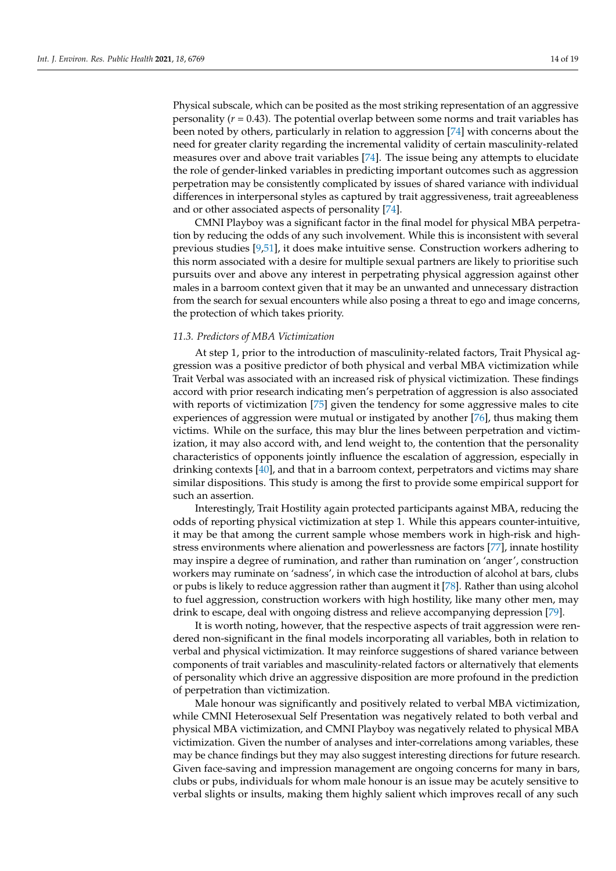Physical subscale, which can be posited as the most striking representation of an aggressive personality (*r* = 0.43). The potential overlap between some norms and trait variables has been noted by others, particularly in relation to aggression [\[74\]](#page-19-8) with concerns about the need for greater clarity regarding the incremental validity of certain masculinity-related measures over and above trait variables [\[74\]](#page-19-8). The issue being any attempts to elucidate the role of gender-linked variables in predicting important outcomes such as aggression perpetration may be consistently complicated by issues of shared variance with individual differences in interpersonal styles as captured by trait aggressiveness, trait agreeableness and or other associated aspects of personality [\[74\]](#page-19-8).

CMNI Playboy was a significant factor in the final model for physical MBA perpetration by reducing the odds of any such involvement. While this is inconsistent with several previous studies [\[9,](#page-17-1)[51\]](#page-18-14), it does make intuitive sense. Construction workers adhering to this norm associated with a desire for multiple sexual partners are likely to prioritise such pursuits over and above any interest in perpetrating physical aggression against other males in a barroom context given that it may be an unwanted and unnecessary distraction from the search for sexual encounters while also posing a threat to ego and image concerns, the protection of which takes priority.

## *11.3. Predictors of MBA Victimization*

At step 1, prior to the introduction of masculinity-related factors, Trait Physical aggression was a positive predictor of both physical and verbal MBA victimization while Trait Verbal was associated with an increased risk of physical victimization. These findings accord with prior research indicating men's perpetration of aggression is also associated with reports of victimization [\[75\]](#page-19-9) given the tendency for some aggressive males to cite experiences of aggression were mutual or instigated by another [\[76\]](#page-19-10), thus making them victims. While on the surface, this may blur the lines between perpetration and victimization, it may also accord with, and lend weight to, the contention that the personality characteristics of opponents jointly influence the escalation of aggression, especially in drinking contexts [\[40\]](#page-18-3), and that in a barroom context, perpetrators and victims may share similar dispositions. This study is among the first to provide some empirical support for such an assertion.

Interestingly, Trait Hostility again protected participants against MBA, reducing the odds of reporting physical victimization at step 1. While this appears counter-intuitive, it may be that among the current sample whose members work in high-risk and highstress environments where alienation and powerlessness are factors [\[77\]](#page-19-11), innate hostility may inspire a degree of rumination, and rather than rumination on 'anger', construction workers may ruminate on 'sadness', in which case the introduction of alcohol at bars, clubs or pubs is likely to reduce aggression rather than augment it [\[78\]](#page-19-12). Rather than using alcohol to fuel aggression, construction workers with high hostility, like many other men, may drink to escape, deal with ongoing distress and relieve accompanying depression [\[79\]](#page-19-13).

It is worth noting, however, that the respective aspects of trait aggression were rendered non-significant in the final models incorporating all variables, both in relation to verbal and physical victimization. It may reinforce suggestions of shared variance between components of trait variables and masculinity-related factors or alternatively that elements of personality which drive an aggressive disposition are more profound in the prediction of perpetration than victimization.

Male honour was significantly and positively related to verbal MBA victimization, while CMNI Heterosexual Self Presentation was negatively related to both verbal and physical MBA victimization, and CMNI Playboy was negatively related to physical MBA victimization. Given the number of analyses and inter-correlations among variables, these may be chance findings but they may also suggest interesting directions for future research. Given face-saving and impression management are ongoing concerns for many in bars, clubs or pubs, individuals for whom male honour is an issue may be acutely sensitive to verbal slights or insults, making them highly salient which improves recall of any such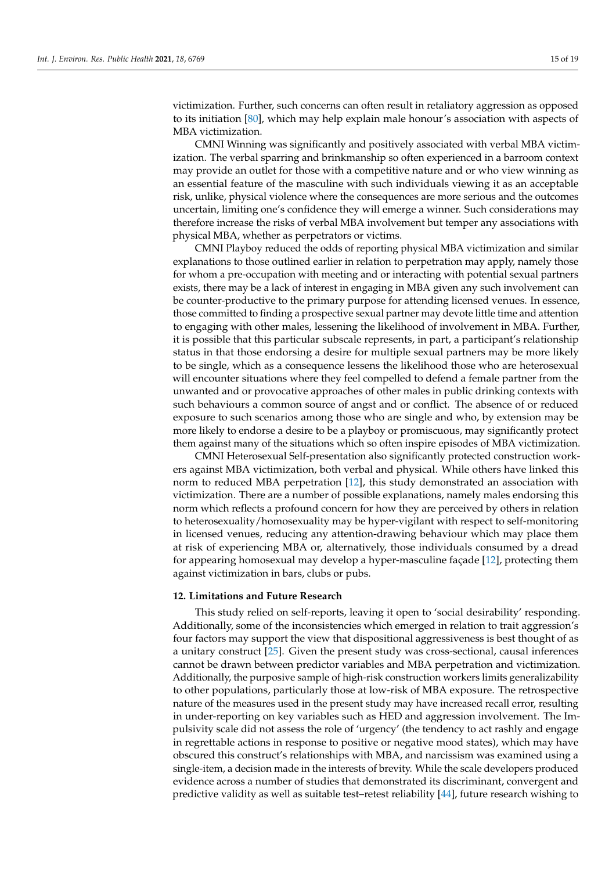victimization. Further, such concerns can often result in retaliatory aggression as opposed to its initiation [\[80\]](#page-19-14), which may help explain male honour's association with aspects of MBA victimization.

CMNI Winning was significantly and positively associated with verbal MBA victimization. The verbal sparring and brinkmanship so often experienced in a barroom context may provide an outlet for those with a competitive nature and or who view winning as an essential feature of the masculine with such individuals viewing it as an acceptable risk, unlike, physical violence where the consequences are more serious and the outcomes uncertain, limiting one's confidence they will emerge a winner. Such considerations may therefore increase the risks of verbal MBA involvement but temper any associations with physical MBA, whether as perpetrators or victims.

CMNI Playboy reduced the odds of reporting physical MBA victimization and similar explanations to those outlined earlier in relation to perpetration may apply, namely those for whom a pre-occupation with meeting and or interacting with potential sexual partners exists, there may be a lack of interest in engaging in MBA given any such involvement can be counter-productive to the primary purpose for attending licensed venues. In essence, those committed to finding a prospective sexual partner may devote little time and attention to engaging with other males, lessening the likelihood of involvement in MBA. Further, it is possible that this particular subscale represents, in part, a participant's relationship status in that those endorsing a desire for multiple sexual partners may be more likely to be single, which as a consequence lessens the likelihood those who are heterosexual will encounter situations where they feel compelled to defend a female partner from the unwanted and or provocative approaches of other males in public drinking contexts with such behaviours a common source of angst and or conflict. The absence of or reduced exposure to such scenarios among those who are single and who, by extension may be more likely to endorse a desire to be a playboy or promiscuous, may significantly protect them against many of the situations which so often inspire episodes of MBA victimization.

CMNI Heterosexual Self-presentation also significantly protected construction workers against MBA victimization, both verbal and physical. While others have linked this norm to reduced MBA perpetration [\[12\]](#page-17-4), this study demonstrated an association with victimization. There are a number of possible explanations, namely males endorsing this norm which reflects a profound concern for how they are perceived by others in relation to heterosexuality/homosexuality may be hyper-vigilant with respect to self-monitoring in licensed venues, reducing any attention-drawing behaviour which may place them at risk of experiencing MBA or, alternatively, those individuals consumed by a dread for appearing homosexual may develop a hyper-masculine façade [\[12\]](#page-17-4), protecting them against victimization in bars, clubs or pubs.

#### **12. Limitations and Future Research**

This study relied on self-reports, leaving it open to 'social desirability' responding. Additionally, some of the inconsistencies which emerged in relation to trait aggression's four factors may support the view that dispositional aggressiveness is best thought of as a unitary construct [\[25\]](#page-17-16). Given the present study was cross-sectional, causal inferences cannot be drawn between predictor variables and MBA perpetration and victimization. Additionally, the purposive sample of high-risk construction workers limits generalizability to other populations, particularly those at low-risk of MBA exposure. The retrospective nature of the measures used in the present study may have increased recall error, resulting in under-reporting on key variables such as HED and aggression involvement. The Impulsivity scale did not assess the role of 'urgency' (the tendency to act rashly and engage in regrettable actions in response to positive or negative mood states), which may have obscured this construct's relationships with MBA, and narcissism was examined using a single-item, a decision made in the interests of brevity. While the scale developers produced evidence across a number of studies that demonstrated its discriminant, convergent and predictive validity as well as suitable test–retest reliability [\[44\]](#page-18-7), future research wishing to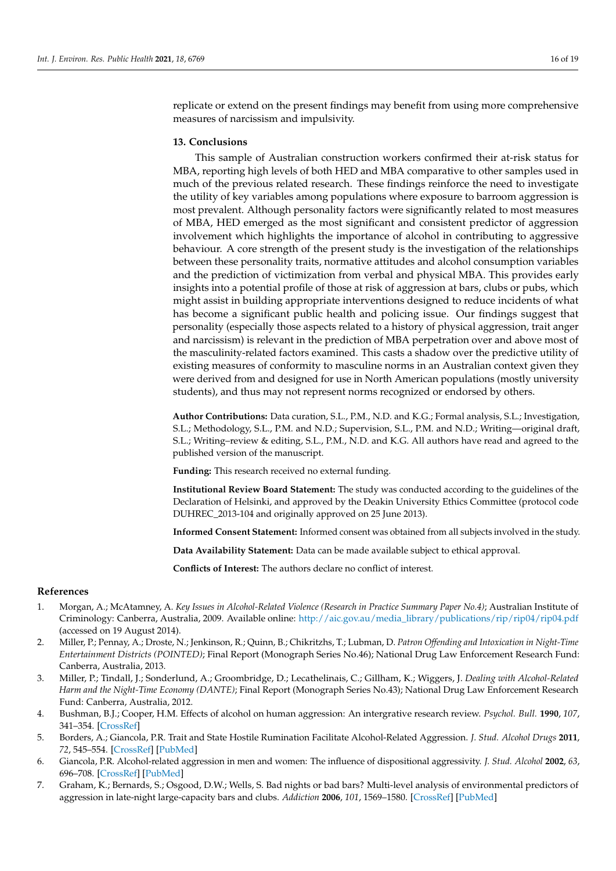replicate or extend on the present findings may benefit from using more comprehensive measures of narcissism and impulsivity.

## **13. Conclusions**

This sample of Australian construction workers confirmed their at-risk status for MBA, reporting high levels of both HED and MBA comparative to other samples used in much of the previous related research. These findings reinforce the need to investigate the utility of key variables among populations where exposure to barroom aggression is most prevalent. Although personality factors were significantly related to most measures of MBA, HED emerged as the most significant and consistent predictor of aggression involvement which highlights the importance of alcohol in contributing to aggressive behaviour. A core strength of the present study is the investigation of the relationships between these personality traits, normative attitudes and alcohol consumption variables and the prediction of victimization from verbal and physical MBA. This provides early insights into a potential profile of those at risk of aggression at bars, clubs or pubs, which might assist in building appropriate interventions designed to reduce incidents of what has become a significant public health and policing issue. Our findings suggest that personality (especially those aspects related to a history of physical aggression, trait anger and narcissism) is relevant in the prediction of MBA perpetration over and above most of the masculinity-related factors examined. This casts a shadow over the predictive utility of existing measures of conformity to masculine norms in an Australian context given they were derived from and designed for use in North American populations (mostly university students), and thus may not represent norms recognized or endorsed by others.

**Author Contributions:** Data curation, S.L., P.M., N.D. and K.G.; Formal analysis, S.L.; Investigation, S.L.; Methodology, S.L., P.M. and N.D.; Supervision, S.L., P.M. and N.D.; Writing—original draft, S.L.; Writing–review & editing, S.L., P.M., N.D. and K.G. All authors have read and agreed to the published version of the manuscript.

**Funding:** This research received no external funding.

**Institutional Review Board Statement:** The study was conducted according to the guidelines of the Declaration of Helsinki, and approved by the Deakin University Ethics Committee (protocol code DUHREC\_2013-104 and originally approved on 25 June 2013).

**Informed Consent Statement:** Informed consent was obtained from all subjects involved in the study.

**Data Availability Statement:** Data can be made available subject to ethical approval.

**Conflicts of Interest:** The authors declare no conflict of interest.

### **References**

- <span id="page-16-0"></span>1. Morgan, A.; McAtamney, A. *Key Issues in Alcohol-Related Violence (Research in Practice Summary Paper No.4)*; Australian Institute of Criminology: Canberra, Australia, 2009. Available online: [http://aic.gov.au/media\\_library/publications/rip/rip04/rip04.pdf](http://aic.gov.au/media_library/publications/rip/rip04/rip04.pdf) (accessed on 19 August 2014).
- <span id="page-16-1"></span>2. Miller, P.; Pennay, A.; Droste, N.; Jenkinson, R.; Quinn, B.; Chikritzhs, T.; Lubman, D. *Patron Offending and Intoxication in Night-Time Entertainment Districts (POINTED)*; Final Report (Monograph Series No.46); National Drug Law Enforcement Research Fund: Canberra, Australia, 2013.
- <span id="page-16-2"></span>3. Miller, P.; Tindall, J.; Sonderlund, A.; Groombridge, D.; Lecathelinais, C.; Gillham, K.; Wiggers, J. *Dealing with Alcohol-Related Harm and the Night-Time Economy (DANTE)*; Final Report (Monograph Series No.43); National Drug Law Enforcement Research Fund: Canberra, Australia, 2012.
- <span id="page-16-3"></span>4. Bushman, B.J.; Cooper, H.M. Effects of alcohol on human aggression: An intergrative research review. *Psychol. Bull.* **1990**, *107*, 341–354. [\[CrossRef\]](http://doi.org/10.1037/0033-2909.107.3.341)
- <span id="page-16-4"></span>5. Borders, A.; Giancola, P.R. Trait and State Hostile Rumination Facilitate Alcohol-Related Aggression. *J. Stud. Alcohol Drugs* **2011**, *72*, 545–554. [\[CrossRef\]](http://doi.org/10.15288/jsad.2011.72.545) [\[PubMed\]](http://www.ncbi.nlm.nih.gov/pubmed/21683036)
- <span id="page-16-5"></span>6. Giancola, P.R. Alcohol-related aggression in men and women: The influence of dispositional aggressivity. *J. Stud. Alcohol* **2002**, *63*, 696–708. [\[CrossRef\]](http://doi.org/10.15288/jsa.2002.63.696) [\[PubMed\]](http://www.ncbi.nlm.nih.gov/pubmed/12529070)
- <span id="page-16-6"></span>7. Graham, K.; Bernards, S.; Osgood, D.W.; Wells, S. Bad nights or bad bars? Multi-level analysis of environmental predictors of aggression in late-night large-capacity bars and clubs. *Addiction* **2006**, *101*, 1569–1580. [\[CrossRef\]](http://doi.org/10.1111/j.1360-0443.2006.01608.x) [\[PubMed\]](http://www.ncbi.nlm.nih.gov/pubmed/17034436)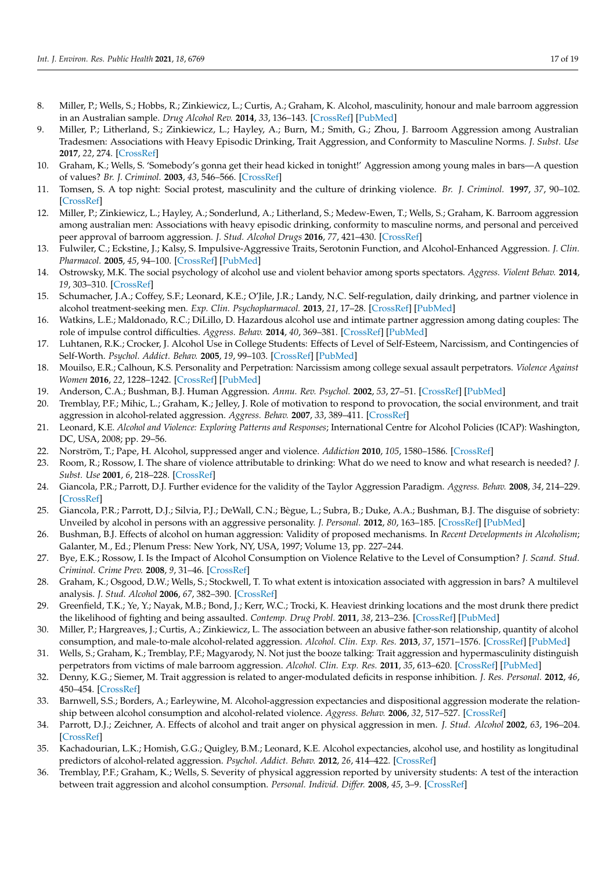- <span id="page-17-0"></span>8. Miller, P.; Wells, S.; Hobbs, R.; Zinkiewicz, L.; Curtis, A.; Graham, K. Alcohol, masculinity, honour and male barroom aggression in an Australian sample. *Drug Alcohol Rev.* **2014**, *33*, 136–143. [\[CrossRef\]](http://doi.org/10.1111/dar.12114) [\[PubMed\]](http://www.ncbi.nlm.nih.gov/pubmed/24428187)
- <span id="page-17-1"></span>9. Miller, P.; Litherland, S.; Zinkiewicz, L.; Hayley, A.; Burn, M.; Smith, G.; Zhou, J. Barroom Aggression among Australian Tradesmen: Associations with Heavy Episodic Drinking, Trait Aggression, and Conformity to Masculine Norms. *J. Subst. Use* **2017**, *22*, 274. [\[CrossRef\]](http://doi.org/10.1080/14659891.2016.1184334)
- <span id="page-17-2"></span>10. Graham, K.; Wells, S. 'Somebody's gonna get their head kicked in tonight!' Aggression among young males in bars—A question of values? *Br. J. Criminol.* **2003**, *43*, 546–566. [\[CrossRef\]](http://doi.org/10.1093/bjc/43.3.546)
- <span id="page-17-3"></span>11. Tomsen, S. A top night: Social protest, masculinity and the culture of drinking violence. *Br. J. Criminol.* **1997**, *37*, 90–102. [\[CrossRef\]](http://doi.org/10.1093/oxfordjournals.bjc.a014152)
- <span id="page-17-4"></span>12. Miller, P.; Zinkiewicz, L.; Hayley, A.; Sonderlund, A.; Litherland, S.; Medew-Ewen, T.; Wells, S.; Graham, K. Barroom aggression among australian men: Associations with heavy episodic drinking, conformity to masculine norms, and personal and perceived peer approval of barroom aggression. *J. Stud. Alcohol Drugs* **2016**, *77*, 421–430. [\[CrossRef\]](http://doi.org/10.15288/jsad.2016.77.421)
- <span id="page-17-5"></span>13. Fulwiler, C.; Eckstine, J.; Kalsy, S. Impulsive-Aggressive Traits, Serotonin Function, and Alcohol-Enhanced Aggression. *J. Clin. Pharmacol.* **2005**, *45*, 94–100. [\[CrossRef\]](http://doi.org/10.1177/0091270004270457) [\[PubMed\]](http://www.ncbi.nlm.nih.gov/pubmed/15601810)
- <span id="page-17-6"></span>14. Ostrowsky, M.K. The social psychology of alcohol use and violent behavior among sports spectators. *Aggress. Violent Behav.* **2014**, *19*, 303–310. [\[CrossRef\]](http://doi.org/10.1016/j.avb.2014.05.001)
- 15. Schumacher, J.A.; Coffey, S.F.; Leonard, K.E.; O'Jile, J.R.; Landy, N.C. Self-regulation, daily drinking, and partner violence in alcohol treatment-seeking men. *Exp. Clin. Psychopharmacol.* **2013**, *21*, 17–28. [\[CrossRef\]](http://doi.org/10.1037/a0031141) [\[PubMed\]](http://www.ncbi.nlm.nih.gov/pubmed/23379612)
- <span id="page-17-7"></span>16. Watkins, L.E.; Maldonado, R.C.; DiLillo, D. Hazardous alcohol use and intimate partner aggression among dating couples: The role of impulse control difficulties. *Aggress. Behav.* **2014**, *40*, 369–381. [\[CrossRef\]](http://doi.org/10.1002/ab.21528) [\[PubMed\]](http://www.ncbi.nlm.nih.gov/pubmed/24464403)
- <span id="page-17-8"></span>17. Luhtanen, R.K.; Crocker, J. Alcohol Use in College Students: Effects of Level of Self-Esteem, Narcissism, and Contingencies of Self-Worth. *Psychol. Addict. Behav.* **2005**, *19*, 99–103. [\[CrossRef\]](http://doi.org/10.1037/0893-164X.19.1.99) [\[PubMed\]](http://www.ncbi.nlm.nih.gov/pubmed/15783284)
- <span id="page-17-9"></span>18. Mouilso, E.R.; Calhoun, K.S. Personality and Perpetration: Narcissism among college sexual assault perpetrators. *Violence Against Women* **2016**, *22*, 1228–1242. [\[CrossRef\]](http://doi.org/10.1177/1077801215622575) [\[PubMed\]](http://www.ncbi.nlm.nih.gov/pubmed/26712237)
- <span id="page-17-10"></span>19. Anderson, C.A.; Bushman, B.J. Human Aggression. *Annu. Rev. Psychol.* **2002**, *53*, 27–51. [\[CrossRef\]](http://doi.org/10.1146/annurev.psych.53.100901.135231) [\[PubMed\]](http://www.ncbi.nlm.nih.gov/pubmed/11752478)
- <span id="page-17-11"></span>20. Tremblay, P.F.; Mihic, L.; Graham, K.; Jelley, J. Role of motivation to respond to provocation, the social environment, and trait aggression in alcohol-related aggression. *Aggress. Behav.* **2007**, *33*, 389–411. [\[CrossRef\]](http://doi.org/10.1002/ab.20193)
- <span id="page-17-12"></span>21. Leonard, K.E. *Alcohol and Violence: Exploring Patterns and Responses*; International Centre for Alcohol Policies (ICAP): Washington, DC, USA, 2008; pp. 29–56.
- <span id="page-17-13"></span>22. Norström, T.; Pape, H. Alcohol, suppressed anger and violence. *Addiction* **2010**, *105*, 1580–1586. [\[CrossRef\]](http://doi.org/10.1111/j.1360-0443.2010.02997.x)
- <span id="page-17-14"></span>23. Room, R.; Rossow, I. The share of violence attributable to drinking: What do we need to know and what research is needed? *J. Subst. Use* **2001**, *6*, 218–228. [\[CrossRef\]](http://doi.org/10.1080/146598901753325048)
- <span id="page-17-15"></span>24. Giancola, P.R.; Parrott, D.J. Further evidence for the validity of the Taylor Aggression Paradigm. *Aggress. Behav.* **2008**, *34*, 214–229. [\[CrossRef\]](http://doi.org/10.1002/ab.20235)
- <span id="page-17-16"></span>25. Giancola, P.R.; Parrott, D.J.; Silvia, P.J.; DeWall, C.N.; Bègue, L.; Subra, B.; Duke, A.A.; Bushman, B.J. The disguise of sobriety: Unveiled by alcohol in persons with an aggressive personality. *J. Personal.* **2012**, *80*, 163–185. [\[CrossRef\]](http://doi.org/10.1111/j.1467-6494.2011.00726.x) [\[PubMed\]](http://www.ncbi.nlm.nih.gov/pubmed/21299560)
- <span id="page-17-17"></span>26. Bushman, B.J. Effects of alcohol on human aggression: Validity of proposed mechanisms. In *Recent Developments in Alcoholism*; Galanter, M., Ed.; Plenum Press: New York, NY, USA, 1997; Volume 13, pp. 227–244.
- <span id="page-17-18"></span>27. Bye, E.K.; Rossow, I. Is the Impact of Alcohol Consumption on Violence Relative to the Level of Consumption? *J. Scand. Stud. Criminol. Crime Prev.* **2008**, *9*, 31–46. [\[CrossRef\]](http://doi.org/10.1080/14043850801896729)
- <span id="page-17-19"></span>28. Graham, K.; Osgood, D.W.; Wells, S.; Stockwell, T. To what extent is intoxication associated with aggression in bars? A multilevel analysis. *J. Stud. Alcohol* **2006**, *67*, 382–390. [\[CrossRef\]](http://doi.org/10.15288/jsa.2006.67.382)
- <span id="page-17-21"></span>29. Greenfield, T.K.; Ye, Y.; Nayak, M.B.; Bond, J.; Kerr, W.C.; Trocki, K. Heaviest drinking locations and the most drunk there predict the likelihood of fighting and being assaulted. *Contemp. Drug Probl.* **2011**, *38*, 213–236. [\[CrossRef\]](http://doi.org/10.1177/009145091103800203) [\[PubMed\]](http://www.ncbi.nlm.nih.gov/pubmed/23335824)
- 30. Miller, P.; Hargreaves, J.; Curtis, A.; Zinkiewicz, L. The association between an abusive father-son relationship, quantity of alcohol consumption, and male-to-male alcohol-related aggression. *Alcohol. Clin. Exp. Res.* **2013**, *37*, 1571–1576. [\[CrossRef\]](http://doi.org/10.1111/acer.12114) [\[PubMed\]](http://www.ncbi.nlm.nih.gov/pubmed/23550962)
- <span id="page-17-20"></span>31. Wells, S.; Graham, K.; Tremblay, P.F.; Magyarody, N. Not just the booze talking: Trait aggression and hypermasculinity distinguish perpetrators from victims of male barroom aggression. *Alcohol. Clin. Exp. Res.* **2011**, *35*, 613–620. [\[CrossRef\]](http://doi.org/10.1111/j.1530-0277.2010.01375.x) [\[PubMed\]](http://www.ncbi.nlm.nih.gov/pubmed/21143254)
- <span id="page-17-22"></span>32. Denny, K.G.; Siemer, M. Trait aggression is related to anger-modulated deficits in response inhibition. *J. Res. Personal.* **2012**, *46*, 450–454. [\[CrossRef\]](http://doi.org/10.1016/j.jrp.2012.04.001)
- <span id="page-17-23"></span>33. Barnwell, S.S.; Borders, A.; Earleywine, M. Alcohol-aggression expectancies and dispositional aggression moderate the relationship between alcohol consumption and alcohol-related violence. *Aggress. Behav.* **2006**, *32*, 517–527. [\[CrossRef\]](http://doi.org/10.1002/ab.20152)
- <span id="page-17-24"></span>34. Parrott, D.J.; Zeichner, A. Effects of alcohol and trait anger on physical aggression in men. *J. Stud. Alcohol* **2002**, *63*, 196–204. [\[CrossRef\]](http://doi.org/10.15288/jsa.2002.63.196)
- <span id="page-17-25"></span>35. Kachadourian, L.K.; Homish, G.G.; Quigley, B.M.; Leonard, K.E. Alcohol expectancies, alcohol use, and hostility as longitudinal predictors of alcohol-related aggression. *Psychol. Addict. Behav.* **2012**, *26*, 414–422. [\[CrossRef\]](http://doi.org/10.1037/a0025842)
- <span id="page-17-26"></span>36. Tremblay, P.F.; Graham, K.; Wells, S. Severity of physical aggression reported by university students: A test of the interaction between trait aggression and alcohol consumption. *Personal. Individ. Differ.* **2008**, *45*, 3–9. [\[CrossRef\]](http://doi.org/10.1016/j.paid.2008.02.008)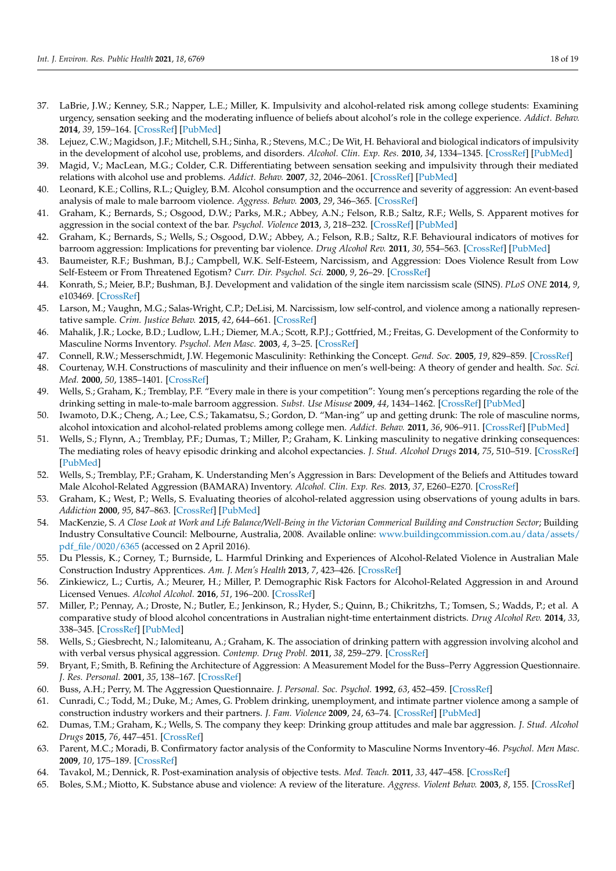- <span id="page-18-0"></span>37. LaBrie, J.W.; Kenney, S.R.; Napper, L.E.; Miller, K. Impulsivity and alcohol-related risk among college students: Examining urgency, sensation seeking and the moderating influence of beliefs about alcohol's role in the college experience. *Addict. Behav.* **2014**, *39*, 159–164. [\[CrossRef\]](http://doi.org/10.1016/j.addbeh.2013.09.018) [\[PubMed\]](http://www.ncbi.nlm.nih.gov/pubmed/24120644)
- <span id="page-18-1"></span>38. Lejuez, C.W.; Magidson, J.F.; Mitchell, S.H.; Sinha, R.; Stevens, M.C.; De Wit, H. Behavioral and biological indicators of impulsivity in the development of alcohol use, problems, and disorders. *Alcohol. Clin. Exp. Res.* **2010**, *34*, 1334–1345. [\[CrossRef\]](http://doi.org/10.1111/j.1530-0277.2010.01217.x) [\[PubMed\]](http://www.ncbi.nlm.nih.gov/pubmed/20491733)
- <span id="page-18-2"></span>39. Magid, V.; MacLean, M.G.; Colder, C.R. Differentiating between sensation seeking and impulsivity through their mediated relations with alcohol use and problems. *Addict. Behav.* **2007**, *32*, 2046–2061. [\[CrossRef\]](http://doi.org/10.1016/j.addbeh.2007.01.015) [\[PubMed\]](http://www.ncbi.nlm.nih.gov/pubmed/17331658)
- <span id="page-18-3"></span>40. Leonard, K.E.; Collins, R.L.; Quigley, B.M. Alcohol consumption and the occurrence and severity of aggression: An event-based analysis of male to male barroom violence. *Aggress. Behav.* **2003**, *29*, 346–365. [\[CrossRef\]](http://doi.org/10.1002/ab.10075)
- <span id="page-18-4"></span>41. Graham, K.; Bernards, S.; Osgood, D.W.; Parks, M.R.; Abbey, A.N.; Felson, R.B.; Saltz, R.F.; Wells, S. Apparent motives for aggression in the social context of the bar. *Psychol. Violence* **2013**, *3*, 218–232. [\[CrossRef\]](http://doi.org/10.1037/a0029677) [\[PubMed\]](http://www.ncbi.nlm.nih.gov/pubmed/24224117)
- <span id="page-18-5"></span>42. Graham, K.; Bernards, S.; Wells, S.; Osgood, D.W.; Abbey, A.; Felson, R.B.; Saltz, R.F. Behavioural indicators of motives for barroom aggression: Implications for preventing bar violence. *Drug Alcohol Rev.* **2011**, *30*, 554–563. [\[CrossRef\]](http://doi.org/10.1111/j.1465-3362.2010.00252.x) [\[PubMed\]](http://www.ncbi.nlm.nih.gov/pubmed/21896078)
- <span id="page-18-6"></span>43. Baumeister, R.F.; Bushman, B.J.; Campbell, W.K. Self-Esteem, Narcissism, and Aggression: Does Violence Result from Low Self-Esteem or From Threatened Egotism? *Curr. Dir. Psychol. Sci.* **2000**, *9*, 26–29. [\[CrossRef\]](http://doi.org/10.1111/1467-8721.00053)
- <span id="page-18-7"></span>44. Konrath, S.; Meier, B.P.; Bushman, B.J. Development and validation of the single item narcissism scale (SINS). *PLoS ONE* **2014**, *9*, e103469. [\[CrossRef\]](http://doi.org/10.1371/journal.pone.0103469)
- <span id="page-18-8"></span>45. Larson, M.; Vaughn, M.G.; Salas-Wright, C.P.; DeLisi, M. Narcissism, low self-control, and violence among a nationally representative sample. *Crim. Justice Behav.* **2015**, *42*, 644–661. [\[CrossRef\]](http://doi.org/10.1177/0093854814553097)
- <span id="page-18-9"></span>46. Mahalik, J.R.; Locke, B.D.; Ludlow, L.H.; Diemer, M.A.; Scott, R.P.J.; Gottfried, M.; Freitas, G. Development of the Conformity to Masculine Norms Inventory. *Psychol. Men Masc.* **2003**, *4*, 3–25. [\[CrossRef\]](http://doi.org/10.1037/1524-9220.4.1.3)
- <span id="page-18-10"></span>47. Connell, R.W.; Messerschmidt, J.W. Hegemonic Masculinity: Rethinking the Concept. *Gend. Soc.* **2005**, *19*, 829–859. [\[CrossRef\]](http://doi.org/10.1177/0891243205278639)
- <span id="page-18-11"></span>48. Courtenay, W.H. Constructions of masculinity and their influence on men's well-being: A theory of gender and health. *Soc. Sci. Med.* **2000**, *50*, 1385–1401. [\[CrossRef\]](http://doi.org/10.1016/S0277-9536(99)00390-1)
- <span id="page-18-12"></span>49. Wells, S.; Graham, K.; Tremblay, P.F. "Every male in there is your competition": Young men's perceptions regarding the role of the drinking setting in male-to-male barroom aggression. *Subst. Use Misuse* **2009**, *44*, 1434–1462. [\[CrossRef\]](http://doi.org/10.1080/10826080902961708) [\[PubMed\]](http://www.ncbi.nlm.nih.gov/pubmed/19938926)
- <span id="page-18-13"></span>50. Iwamoto, D.K.; Cheng, A.; Lee, C.S.; Takamatsu, S.; Gordon, D. "Man-ing" up and getting drunk: The role of masculine norms, alcohol intoxication and alcohol-related problems among college men. *Addict. Behav.* **2011**, *36*, 906–911. [\[CrossRef\]](http://doi.org/10.1016/j.addbeh.2011.04.005) [\[PubMed\]](http://www.ncbi.nlm.nih.gov/pubmed/21620570)
- <span id="page-18-14"></span>51. Wells, S.; Flynn, A.; Tremblay, P.F.; Dumas, T.; Miller, P.; Graham, K. Linking masculinity to negative drinking consequences: The mediating roles of heavy episodic drinking and alcohol expectancies. *J. Stud. Alcohol Drugs* **2014**, *75*, 510–519. [\[CrossRef\]](http://doi.org/10.15288/jsad.2014.75.510) [\[PubMed\]](http://www.ncbi.nlm.nih.gov/pubmed/24766763)
- <span id="page-18-15"></span>52. Wells, S.; Tremblay, P.F.; Graham, K. Understanding Men's Aggression in Bars: Development of the Beliefs and Attitudes toward Male Alcohol-Related Aggression (BAMARA) Inventory. *Alcohol. Clin. Exp. Res.* **2013**, *37*, E260–E270. [\[CrossRef\]](http://doi.org/10.1111/j.1530-0277.2012.01912.x)
- <span id="page-18-16"></span>53. Graham, K.; West, P.; Wells, S. Evaluating theories of alcohol-related aggression using observations of young adults in bars. *Addiction* **2000**, *95*, 847–863. [\[CrossRef\]](http://doi.org/10.1046/j.1360-0443.2000.9568473.x) [\[PubMed\]](http://www.ncbi.nlm.nih.gov/pubmed/10946435)
- <span id="page-18-17"></span>54. MacKenzie, S. *A Close Look at Work and Life Balance/Well-Being in the Victorian Commerical Building and Construction Sector*; Building Industry Consultative Council: Melbourne, Australia, 2008. Available online: [www.buildingcommission.com.au/data/assets/](www.buildingcommission.com.au/data/assets/pdf_file/0020/6365) [pdf\\_file/0020/6365](www.buildingcommission.com.au/data/assets/pdf_file/0020/6365) (accessed on 2 April 2016).
- <span id="page-18-18"></span>55. Du Plessis, K.; Corney, T.; Burnside, L. Harmful Drinking and Experiences of Alcohol-Related Violence in Australian Male Construction Industry Apprentices. *Am. J. Men's Health* **2013**, *7*, 423–426. [\[CrossRef\]](http://doi.org/10.1177/1557988313479965)
- <span id="page-18-19"></span>56. Zinkiewicz, L.; Curtis, A.; Meurer, H.; Miller, P. Demographic Risk Factors for Alcohol-Related Aggression in and Around Licensed Venues. *Alcohol Alcohol.* **2016**, *51*, 196–200. [\[CrossRef\]](http://doi.org/10.1093/alcalc/agv083)
- <span id="page-18-20"></span>57. Miller, P.; Pennay, A.; Droste, N.; Butler, E.; Jenkinson, R.; Hyder, S.; Quinn, B.; Chikritzhs, T.; Tomsen, S.; Wadds, P.; et al. A comparative study of blood alcohol concentrations in Australian night-time entertainment districts. *Drug Alcohol Rev.* **2014**, *33*, 338–345. [\[CrossRef\]](http://doi.org/10.1111/dar.12145) [\[PubMed\]](http://www.ncbi.nlm.nih.gov/pubmed/25041513)
- <span id="page-18-21"></span>58. Wells, S.; Giesbrecht, N.; Ialomiteanu, A.; Graham, K. The association of drinking pattern with aggression involving alcohol and with verbal versus physical aggression. *Contemp. Drug Probl.* **2011**, *38*, 259–279. [\[CrossRef\]](http://doi.org/10.1177/009145091103800205)
- <span id="page-18-22"></span>59. Bryant, F.; Smith, B. Refining the Architecture of Aggression: A Measurement Model for the Buss–Perry Aggression Questionnaire. *J. Res. Personal.* **2001**, *35*, 138–167. [\[CrossRef\]](http://doi.org/10.1006/jrpe.2000.2302)
- <span id="page-18-23"></span>60. Buss, A.H.; Perry, M. The Aggression Questionnaire. *J. Personal. Soc. Psychol.* **1992**, *63*, 452–459. [\[CrossRef\]](http://doi.org/10.1037/0022-3514.63.3.452)
- <span id="page-18-24"></span>61. Cunradi, C.; Todd, M.; Duke, M.; Ames, G. Problem drinking, unemployment, and intimate partner violence among a sample of construction industry workers and their partners. *J. Fam. Violence* **2009**, *24*, 63–74. [\[CrossRef\]](http://doi.org/10.1007/s10896-008-9209-0) [\[PubMed\]](http://www.ncbi.nlm.nih.gov/pubmed/22096270)
- <span id="page-18-25"></span>62. Dumas, T.M.; Graham, K.; Wells, S. The company they keep: Drinking group attitudes and male bar aggression. *J. Stud. Alcohol Drugs* **2015**, *76*, 447–451. [\[CrossRef\]](http://doi.org/10.15288/jsad.2015.76.447)
- <span id="page-18-26"></span>63. Parent, M.C.; Moradi, B. Confirmatory factor analysis of the Conformity to Masculine Norms Inventory-46. *Psychol. Men Masc.* **2009**, *10*, 175–189. [\[CrossRef\]](http://doi.org/10.1037/a0015481)
- <span id="page-18-27"></span>64. Tavakol, M.; Dennick, R. Post-examination analysis of objective tests. *Med. Teach.* **2011**, *33*, 447–458. [\[CrossRef\]](http://doi.org/10.3109/0142159X.2011.564682)
- <span id="page-18-28"></span>65. Boles, S.M.; Miotto, K. Substance abuse and violence: A review of the literature. *Aggress. Violent Behav.* **2003**, *8*, 155. [\[CrossRef\]](http://doi.org/10.1016/S1359-1789(01)00057-X)